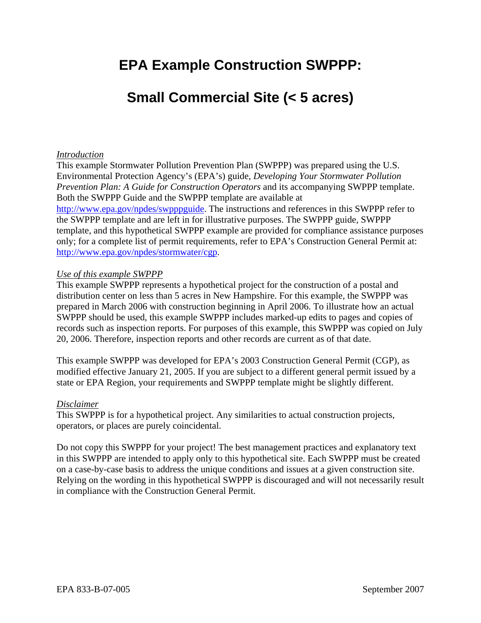# **EPA Example Construction SWPPP:**

# **Small Commercial Site (< 5 acres)**

#### *Introduction*

This example Stormwater Pollution Prevention Plan (SWPPP) was prepared using the U.S. Environmental Protection Agency's (EPA's) guide, *Developing Your Stormwater Pollution Prevention Plan: A Guide for Construction Operators* and its accompanying SWPPP template. Both the SWPPP Guide and the SWPPP template are available at http://www.epa.gov/npdes/swpppguide. The instructions and references in this SWPPP refer to the SWPPP template and are left in for illustrative purposes. The SWPPP guide, SWPPP template, and this hypothetical SWPPP example are provided for compliance assistance purposes only; for a complete list of permit requirements, refer to EPA's Construction General Permit at: http://www.epa.gov/npdes/stormwater/cgp.

#### *Use of this example SWPPP*

This example SWPPP represents a hypothetical project for the construction of a postal and distribution center on less than 5 acres in New Hampshire. For this example, the SWPPP was prepared in March 2006 with construction beginning in April 2006. To illustrate how an actual SWPPP should be used, this example SWPPP includes marked-up edits to pages and copies of records such as inspection reports. For purposes of this example, this SWPPP was copied on July 20, 2006. Therefore, inspection reports and other records are current as of that date.

This example SWPPP was developed for EPA's 2003 Construction General Permit (CGP), as modified effective January 21, 2005. If you are subject to a different general permit issued by a state or EPA Region, your requirements and SWPPP template might be slightly different.

#### *Disclaimer*

This SWPPP is for a hypothetical project. Any similarities to actual construction projects, operators, or places are purely coincidental.

Do not copy this SWPPP for your project! The best management practices and explanatory text in this SWPPP are intended to apply only to this hypothetical site. Each SWPPP must be created on a case-by-case basis to address the unique conditions and issues at a given construction site. Relying on the wording in this hypothetical SWPPP is discouraged and will not necessarily result in compliance with the Construction General Permit.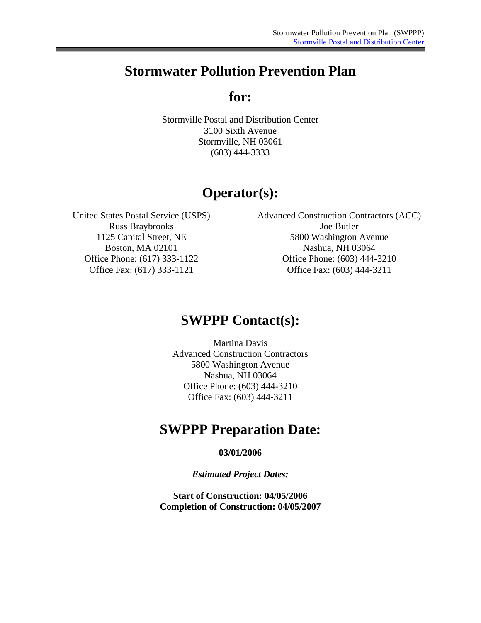## **Stormwater Pollution Prevention Plan**

**for:** 

Stormville Postal and Distribution Center 3100 Sixth Avenue Stormville, NH 03061 (603) 444-3333

## **Operator(s):**

Russ Braybrooks Joe Butler

United States Postal Service (USPS) Advanced Construction Contractors (ACC) 1125 Capital Street, NE 5800 Washington Avenue Boston, MA 02101 Nashua, NH 03064 Office Phone: (617) 333-1122 Office Phone: (603) 444-3210 Office Fax: (617) 333-1121 Office Fax: (603) 444-3211

### **SWPPP Contact(s):**

Martina Davis Advanced Construction Contractors 5800 Washington Avenue Nashua, NH 03064 Office Phone: (603) 444-3210 Office Fax: (603) 444-3211

## **SWPPP Preparation Date:**

**03/01/2006** 

*Estimated Project Dates:* 

**Start of Construction: 04/05/2006 Completion of Construction: 04/05/2007**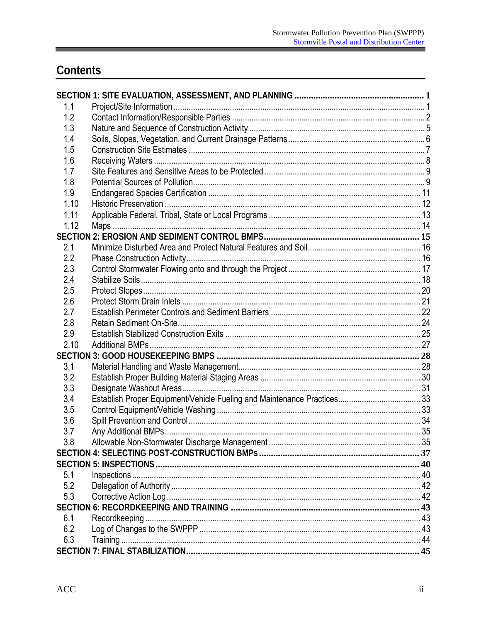# Contents

| 1.1  |  |
|------|--|
| 1.2  |  |
| 1.3  |  |
| 1.4  |  |
| 1.5  |  |
| 1.6  |  |
| 1.7  |  |
| 1.8  |  |
| 1.9  |  |
| 1.10 |  |
| 1.11 |  |
| 1.12 |  |
|      |  |
| 2.1  |  |
| 2.2  |  |
| 2.3  |  |
| 2.4  |  |
| 2.5  |  |
| 2.6  |  |
| 2.7  |  |
| 2.8  |  |
| 2.9  |  |
| 2.10 |  |
|      |  |
| 3.1  |  |
| 3.2  |  |
| 3.3  |  |
| 3.4  |  |
| 3.5  |  |
| 3.6  |  |
| 3.7  |  |
| 3.8  |  |
|      |  |
|      |  |
| 5.1  |  |
| 5.2  |  |
| 5.3  |  |
|      |  |
| 6.1  |  |
| 6.2  |  |
| 6.3  |  |
|      |  |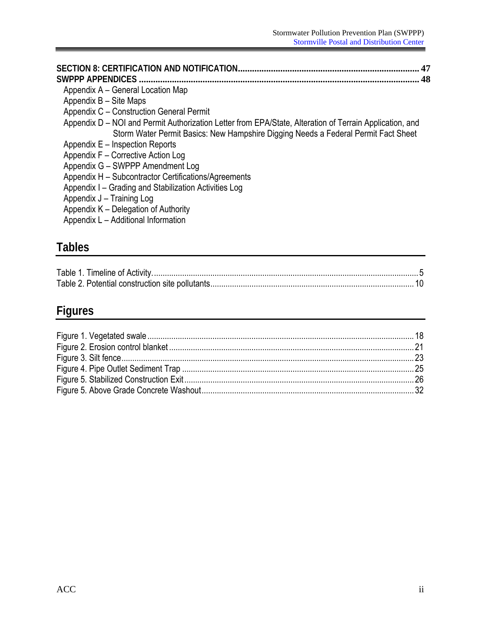<span id="page-3-0"></span>

| 47<br>SWPPP APPFNDICFS<br>48                                                                                                                                                                  |
|-----------------------------------------------------------------------------------------------------------------------------------------------------------------------------------------------|
| Appendix A – General Location Map                                                                                                                                                             |
| Appendix B – Site Maps                                                                                                                                                                        |
| Appendix C - Construction General Permit                                                                                                                                                      |
| Appendix D – NOI and Permit Authorization Letter from EPA/State, Alteration of Terrain Application, and<br>Storm Water Permit Basics: New Hampshire Digging Needs a Federal Permit Fact Sheet |
| Appendix E – Inspection Reports                                                                                                                                                               |
| Appendix F - Corrective Action Log                                                                                                                                                            |
| Appendix G - SWPPP Amendment Log                                                                                                                                                              |
| Appendix H - Subcontractor Certifications/Agreements                                                                                                                                          |
| Appendix I – Grading and Stabilization Activities Log                                                                                                                                         |
| Appendix J - Training Log                                                                                                                                                                     |
| Appendix K – Delegation of Authority                                                                                                                                                          |
| Appendix L - Additional Information                                                                                                                                                           |
|                                                                                                                                                                                               |

# **Tables**

# **Figures**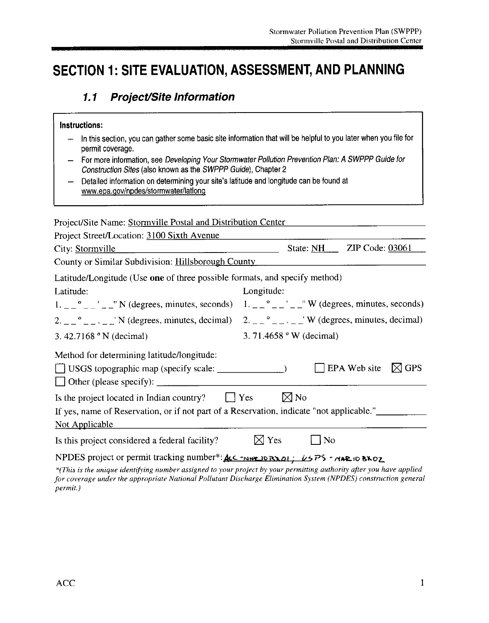# SECTION 1: SITE EVALUATION, ASSESSMENT, AND PLANNING

#### **Project/Site Information**  $1.1$

#### Instructions:

- In this section, you can gather some basic site information that will be helpful to you later when you file for  $\overline{\phantom{m}}$ permit coverage.
- For more information, see Developing Your Stormwater Pollution Prevention Plan: A SWPPP Guide for  $\qquad \qquad -$ Construction Sites (also known as the SWPPP Guide), Chapter 2
- Detailed information on determining your site's latitude and longitude can be found at  $\overline{\phantom{m}}$ www.epa.gov/npdes/stormwater/lationg

| Project/Site Name: Stormville Postal and Distribution Center                                                                                                                                                                                             |                 |                                  |                          |            |
|----------------------------------------------------------------------------------------------------------------------------------------------------------------------------------------------------------------------------------------------------------|-----------------|----------------------------------|--------------------------|------------|
| Project Street/Location: 3100 Sixth Avenue                                                                                                                                                                                                               |                 |                                  |                          |            |
| City: Stormville                                                                                                                                                                                                                                         |                 | State: $NH_{--}$                 | <b>ZIP Code: 03061</b>   |            |
| County or Similar Subdivision: Hillsborough County                                                                                                                                                                                                       |                 |                                  |                          |            |
| Latitude/Longitude (Use one of three possible formats, and specify method)                                                                                                                                                                               |                 |                                  |                          |            |
| Latitude:                                                                                                                                                                                                                                                | Longitude:      |                                  |                          |            |
| $1. -2$ $\degree$ $ \degree$ $ \degree$ N (degrees, minutes, seconds) 1. $\degree$ $ \degree$ $ \degree$ $ \degree$ W (degrees, minutes, seconds)                                                                                                        |                 |                                  |                          |            |
| 2. $\frac{1}{2}$ $\frac{1}{2}$ $\frac{1}{2}$ $\frac{1}{2}$ N (degrees, minutes, decimal) 2. $\frac{1}{2}$ $\frac{1}{2}$ $\frac{1}{2}$ W (degrees, minutes, decimal)                                                                                      |                 |                                  |                          |            |
| 3.42.7168 $^{\circ}$ N (decimal)                                                                                                                                                                                                                         |                 | 3. 71.4658 $\degree$ W (decimal) |                          |            |
| Method for determining latitude/longitude:<br>$\Box$ Other (please specify): $\Box$                                                                                                                                                                      |                 |                                  | EPA Web site $\boxtimes$ | <b>GPS</b> |
| Is the project located in Indian country? $\Box$ Yes                                                                                                                                                                                                     |                 | $\boxtimes$ No                   |                          |            |
| If yes, name of Reservation, or if not part of a Reservation, indicate "not applicable."                                                                                                                                                                 |                 |                                  |                          |            |
| Not Applicable                                                                                                                                                                                                                                           |                 |                                  |                          |            |
| Is this project considered a federal facility?                                                                                                                                                                                                           | $\boxtimes$ Yes | N <sub>o</sub>                   |                          |            |
| NPDES project or permit tracking number*: $\text{Acc}-\text{new}$ or $\text{max}$ ; $\text{LSPS}-\text{new}$ io $\text{Bko}_2$<br>$*$ This is the unique identifying number assigned to your project by your permitting quihority after you have applied |                 |                                  |                          |            |

(This is the unique identifying number assigned to your project by your permitting authority after you have applied for coverage under the appropriate National Pollutant Discharge Elimination System (NPDES) construction general permit.)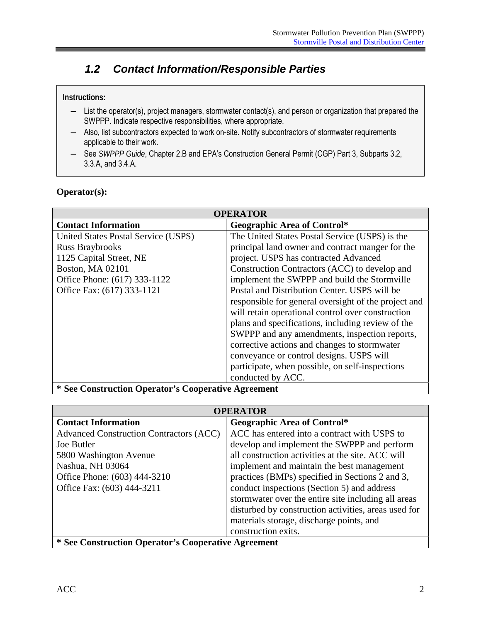### <span id="page-5-0"></span>*1.2 Contact Information/Responsible Parties*

#### **Instructions:**

- ― List the operator(s), project managers, stormwater contact(s), and person or organization that prepared the SWPPP. Indicate respective responsibilities, where appropriate.
- ― Also, list subcontractors expected to work on-site. Notify subcontractors of stormwater requirements applicable to their work.
- ― See *SWPPP Guide*, Chapter 2.B and EPA's Construction General Permit (CGP) Part 3, Subparts 3.2, 3.3.A, and 3.4.A.

#### **Operator(s):**

| <b>OPERATOR</b>                                                            |                                                  |  |  |
|----------------------------------------------------------------------------|--------------------------------------------------|--|--|
| <b>Contact Information</b>                                                 | <b>Geographic Area of Control*</b>               |  |  |
| United States Postal Service (USPS)                                        | The United States Postal Service (USPS) is the   |  |  |
| <b>Russ Braybrooks</b>                                                     | principal land owner and contract manger for the |  |  |
| 1125 Capital Street, NE                                                    | project. USPS has contracted Advanced            |  |  |
| Boston, MA 02101                                                           | Construction Contractors (ACC) to develop and    |  |  |
| Office Phone: (617) 333-1122                                               | implement the SWPPP and build the Stormville     |  |  |
| Office Fax: (617) 333-1121<br>Postal and Distribution Center. USPS will be |                                                  |  |  |
| responsible for general oversight of the project and                       |                                                  |  |  |
| will retain operational control over construction                          |                                                  |  |  |
| plans and specifications, including review of the                          |                                                  |  |  |
| SWPPP and any amendments, inspection reports,                              |                                                  |  |  |
| corrective actions and changes to stormwater                               |                                                  |  |  |
|                                                                            | conveyance or control designs. USPS will         |  |  |
| participate, when possible, on self-inspections                            |                                                  |  |  |
|                                                                            | conducted by ACC.                                |  |  |
| * See Construction Operator's Cooperative Agreement                        |                                                  |  |  |

**OPERATOR Contact Information 1 Geographic Area of Control**\* Advanced Construction Contractors (ACC) Joe Butler 5800 Washington Avenue Nashua, NH 03064 Office Phone: (603) 444-3210 Office Fax: (603) 444-3211 ACC has entered into a contract with USPS to develop and implement the SWPPP and perform all construction activities at the site. ACC will implement and maintain the best management practices (BMPs) specified in Sections 2 and 3, conduct inspections (Section 5) and address stormwater over the entire site including all areas disturbed by construction activities, areas used for materials storage, discharge points, and construction exits.

**\* See Construction Operator's Cooperative Agreement**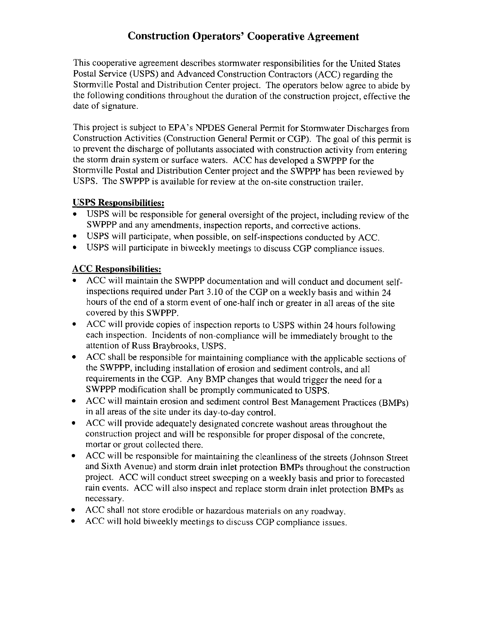### **Construction Operators' Cooperative Agreement**

This cooperative agreement describes stormwater responsibilities for the United States Postal Service (USPS) and Advanced Construction Contractors (ACC) regarding the Stormville Postal and Distribution Center project. The operators below agree to abide by the following conditions throughout the duration of the construction project, effective the date of signature.

This project is subject to EPA's NPDES General Permit for Stormwater Discharges from Construction Activities (Construction General Permit or CGP). The goal of this permit is to prevent the discharge of pollutants associated with construction activity from entering the storm drain system or surface waters. ACC has developed a SWPPP for the Stormville Postal and Distribution Center project and the SWPPP has been reviewed by USPS. The SWPPP is available for review at the on-site construction trailer.

#### **USPS Responsibilities:**

- USPS will be responsible for general oversight of the project, including review of the SWPPP and any amendments, inspection reports, and corrective actions.
- USPS will participate, when possible, on self-inspections conducted by ACC.
- USPS will participate in biweekly meetings to discuss CGP compliance issues.

### **ACC Responsibilities:**

- ACC will maintain the SWPPP documentation and will conduct and document selfinspections required under Part 3.10 of the CGP on a weekly basis and within 24 hours of the end of a storm event of one-half inch or greater in all areas of the site covered by this SWPPP.
- ACC will provide copies of inspection reports to USPS within 24 hours following  $\bullet$ each inspection. Incidents of non-compliance will be immediately brought to the attention of Russ Braybrooks, USPS.
- ACC shall be responsible for maintaining compliance with the applicable sections of  $\bullet$ the SWPPP, including installation of erosion and sediment controls, and all requirements in the CGP. Any BMP changes that would trigger the need for a SWPPP modification shall be promptly communicated to USPS.
- ACC will maintain erosion and sediment control Best Management Practices (BMPs)  $\bullet$ in all areas of the site under its day-to-day control.
- ACC will provide adequately designated concrete washout areas throughout the  $\bullet$ construction project and will be responsible for proper disposal of the concrete, mortar or grout collected there.
- ACC will be responsible for maintaining the cleanliness of the streets (Johnson Street) and Sixth Avenue) and storm drain inlet protection BMPs throughout the construction project. ACC will conduct street sweeping on a weekly basis and prior to forecasted rain events. ACC will also inspect and replace storm drain inlet protection BMPs as necessary.
- ACC shall not store erodible or hazardous materials on any roadway.
- ACC will hold biweekly meetings to discuss CGP compliance issues.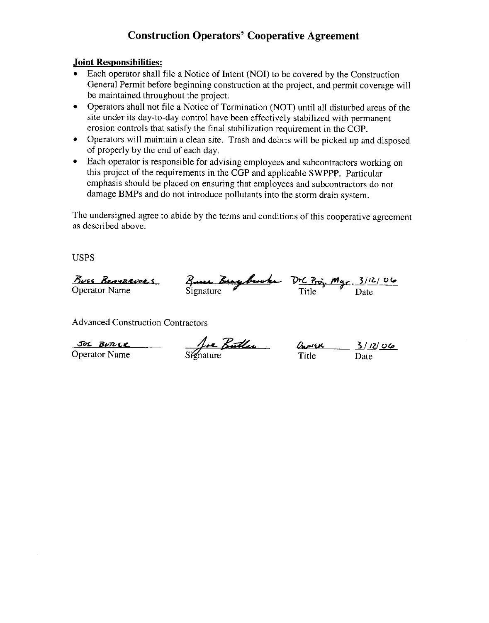### **Construction Operators' Cooperative Agreement**

#### **Joint Responsibilities:**

- Each operator shall file a Notice of Intent (NOI) to be covered by the Construction General Permit before beginning construction at the project, and permit coverage will be maintained throughout the project.
- Operators shall not file a Notice of Termination (NOT) until all disturbed areas of the site under its day-to-day control have been effectively stabilized with permanent erosion controls that satisfy the final stabilization requirement in the CGP.
- Operators will maintain a clean site. Trash and debris will be picked up and disposed of properly by the end of each day.
- Each operator is responsible for advising employees and subcontractors working on this project of the requirements in the CGP and applicable SWPPP. Particular emphasis should be placed on ensuring that employees and subcontractors do not damage BMPs and do not introduce pollutants into the storm drain system.

The undersigned agree to abide by the terms and conditions of this cooperative agreement as described above.

**USPS** 

<u>Buss Benysevers</u> Queen Bray browks DtC Proj. Mgr. 3/12/06<br>Operator Name Signature Title Date

**Advanced Construction Contractors** 

JOL BUTCLK

**Operator Name** 

Sienature Dumen 3/12/06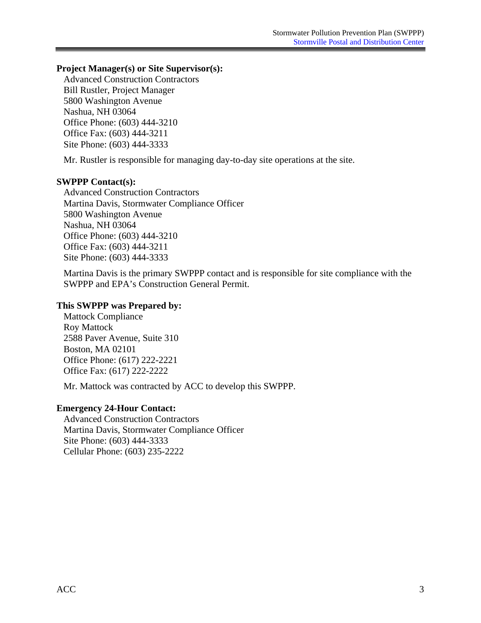#### **Project Manager(s) or Site Supervisor(s):**

Advanced Construction Contractors Bill Rustler, Project Manager 5800 Washington Avenue Nashua, NH 03064 Office Phone: (603) 444-3210 Office Fax: (603) 444-3211 Site Phone: (603) 444-3333

Mr. Rustler is responsible for managing day-to-day site operations at the site.

#### **SWPPP Contact(s):**

Advanced Construction Contractors Martina Davis, Stormwater Compliance Officer 5800 Washington Avenue Nashua, NH 03064 Office Phone: (603) 444-3210 Office Fax: (603) 444-3211 Site Phone: (603) 444-3333

Martina Davis is the primary SWPPP contact and is responsible for site compliance with the SWPPP and EPA's Construction General Permit.

#### **This SWPPP was Prepared by:**

Mattock Compliance Roy Mattock 2588 Paver Avenue, Suite 310 Boston, MA 02101 Office Phone: (617) 222-2221 Office Fax: (617) 222-2222

Mr. Mattock was contracted by ACC to develop this SWPPP.

#### **Emergency 24-Hour Contact:**

Advanced Construction Contractors Martina Davis, Stormwater Compliance Officer Site Phone: (603) 444-3333 Cellular Phone: (603) 235-2222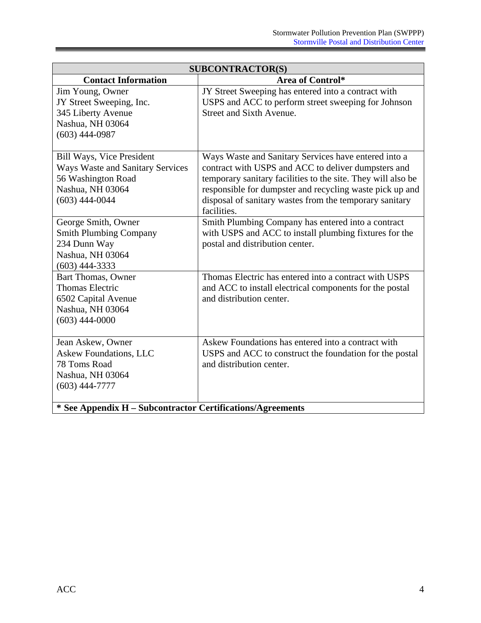<span id="page-9-0"></span>

| <b>SUBCONTRACTOR(S)</b>                                    |                                                              |  |  |
|------------------------------------------------------------|--------------------------------------------------------------|--|--|
| <b>Contact Information</b><br>Area of Control*             |                                                              |  |  |
| Jim Young, Owner                                           | JY Street Sweeping has entered into a contract with          |  |  |
| JY Street Sweeping, Inc.                                   | USPS and ACC to perform street sweeping for Johnson          |  |  |
| 345 Liberty Avenue                                         | Street and Sixth Avenue.                                     |  |  |
| Nashua, NH 03064                                           |                                                              |  |  |
| $(603)$ 444-0987                                           |                                                              |  |  |
|                                                            |                                                              |  |  |
| <b>Bill Ways, Vice President</b>                           | Ways Waste and Sanitary Services have entered into a         |  |  |
| <b>Ways Waste and Sanitary Services</b>                    | contract with USPS and ACC to deliver dumpsters and          |  |  |
| 56 Washington Road                                         | temporary sanitary facilities to the site. They will also be |  |  |
| Nashua, NH 03064                                           | responsible for dumpster and recycling waste pick up and     |  |  |
| $(603)$ 444-0044                                           | disposal of sanitary wastes from the temporary sanitary      |  |  |
|                                                            | facilities.                                                  |  |  |
| George Smith, Owner                                        | Smith Plumbing Company has entered into a contract           |  |  |
| <b>Smith Plumbing Company</b>                              | with USPS and ACC to install plumbing fixtures for the       |  |  |
| 234 Dunn Way                                               | postal and distribution center.                              |  |  |
| Nashua, NH 03064                                           |                                                              |  |  |
| $(603)$ 444-3333                                           |                                                              |  |  |
| <b>Bart Thomas, Owner</b>                                  | Thomas Electric has entered into a contract with USPS        |  |  |
| <b>Thomas Electric</b>                                     | and ACC to install electrical components for the postal      |  |  |
| 6502 Capital Avenue                                        | and distribution center.                                     |  |  |
| Nashua, NH 03064                                           |                                                              |  |  |
| $(603)$ 444-0000                                           |                                                              |  |  |
|                                                            |                                                              |  |  |
| Jean Askew, Owner                                          | Askew Foundations has entered into a contract with           |  |  |
| <b>Askew Foundations, LLC</b>                              | USPS and ACC to construct the foundation for the postal      |  |  |
| 78 Toms Road                                               | and distribution center.                                     |  |  |
| Nashua, NH 03064                                           |                                                              |  |  |
| $(603)$ 444-7777                                           |                                                              |  |  |
|                                                            |                                                              |  |  |
| * See Appendix H – Subcontractor Certifications/Agreements |                                                              |  |  |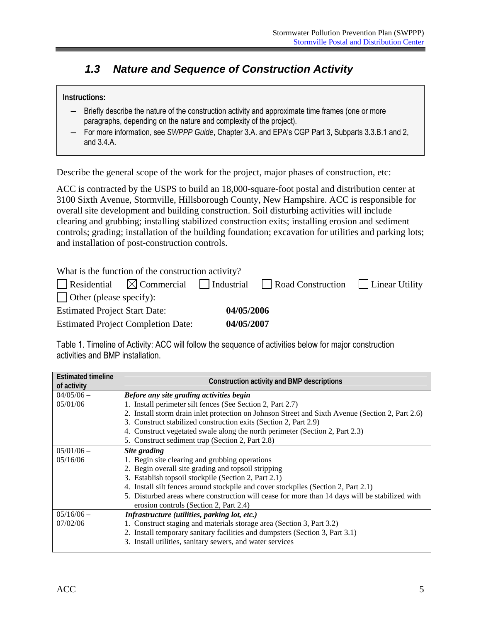### *1.3 Nature and Sequence of Construction Activity*

#### **Instructions:**

- ― Briefly describe the nature of the construction activity and approximate time frames (one or more paragraphs, depending on the nature and complexity of the project).
- ― For more information, see *SWPPP Guide*, Chapter 3.A. and EPA's CGP Part 3, Subparts 3.3.B.1 and 2, and 3.4.A.

Describe the general scope of the work for the project, major phases of construction, etc:

ACC is contracted by the USPS to build an 18,000-square-foot postal and distribution center at 3100 Sixth Avenue, Stormville, Hillsborough County, New Hampshire. ACC is responsible for overall site development and building construction. Soil disturbing activities will include clearing and grubbing; installing stabilized construction exits; installing erosion and sediment controls; grading; installation of the building foundation; excavation for utilities and parking lots; and installation of post-construction controls.

What is the function of the construction activity?

|                                      |                                           |            | Residential $\boxtimes$ Commercial Industrial   Road Construction   Linear Utility |  |
|--------------------------------------|-------------------------------------------|------------|------------------------------------------------------------------------------------|--|
| $\vert$ Other (please specify):      |                                           |            |                                                                                    |  |
| <b>Estimated Project Start Date:</b> |                                           | 04/05/2006 |                                                                                    |  |
|                                      | <b>Estimated Project Completion Date:</b> | 04/05/2007 |                                                                                    |  |

Table 1. Timeline of Activity: ACC will follow the sequence of activities below for major construction activities and BMP installation.

| <b>Estimated timeline</b><br>of activity | <b>Construction activity and BMP descriptions</b>                                                |  |  |  |
|------------------------------------------|--------------------------------------------------------------------------------------------------|--|--|--|
| $04/05/06$ –                             | Before any site grading activities begin                                                         |  |  |  |
| 05/01/06                                 | 1. Install perimeter silt fences (See Section 2, Part 2.7)                                       |  |  |  |
|                                          | 2. Install storm drain inlet protection on Johnson Street and Sixth Avenue (Section 2, Part 2.6) |  |  |  |
|                                          | 3. Construct stabilized construction exits (Section 2, Part 2.9)                                 |  |  |  |
|                                          | 4. Construct vegetated swale along the north perimeter (Section 2, Part 2.3)                     |  |  |  |
|                                          | 5. Construct sediment trap (Section 2, Part 2.8)                                                 |  |  |  |
| $05/01/06$ –                             | Site grading                                                                                     |  |  |  |
| 05/16/06                                 | 1. Begin site clearing and grubbing operations                                                   |  |  |  |
|                                          | 2. Begin overall site grading and topsoil stripping                                              |  |  |  |
|                                          | 3. Establish topsoil stockpile (Section 2, Part 2.1)                                             |  |  |  |
|                                          | 4. Install silt fences around stockpile and cover stockpiles (Section 2, Part 2.1)               |  |  |  |
|                                          | 5. Disturbed areas where construction will cease for more than 14 days will be stabilized with   |  |  |  |
|                                          | erosion controls (Section 2, Part 2.4)                                                           |  |  |  |
| $05/16/06$ –                             | Infrastructure (utilities, parking lot, etc.)                                                    |  |  |  |
| 07/02/06                                 | 1. Construct staging and materials storage area (Section 3, Part 3.2)                            |  |  |  |
|                                          | 2. Install temporary sanitary facilities and dumpsters (Section 3, Part 3.1)                     |  |  |  |
|                                          | 3. Install utilities, sanitary sewers, and water services                                        |  |  |  |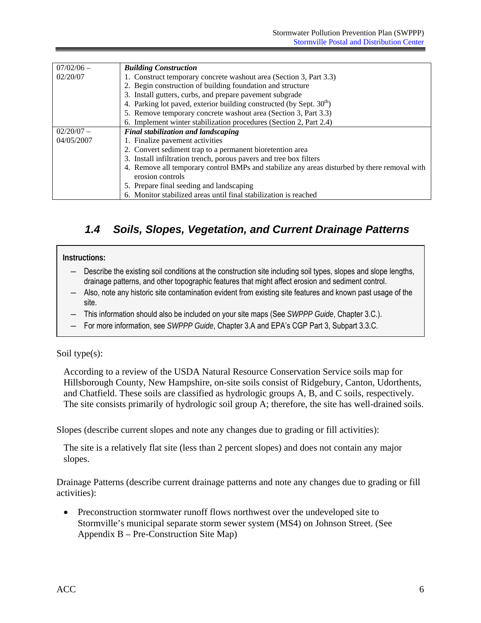<span id="page-11-0"></span>

| $07/02/06$ – | <b>Building Construction</b>                                                                 |  |  |  |  |
|--------------|----------------------------------------------------------------------------------------------|--|--|--|--|
| 02/20/07     | 1. Construct temporary concrete washout area (Section 3, Part 3.3)                           |  |  |  |  |
|              | 2. Begin construction of building foundation and structure                                   |  |  |  |  |
|              | 3. Install gutters, curbs, and prepare pavement subgrade                                     |  |  |  |  |
|              | 4. Parking lot paved, exterior building constructed (by Sept. $30th$ )                       |  |  |  |  |
|              | 5. Remove temporary concrete washout area (Section 3, Part 3.3)                              |  |  |  |  |
|              | 6. Implement winter stabilization procedures (Section 2, Part 2.4)                           |  |  |  |  |
| $02/20/07 -$ | Final stabilization and landscaping                                                          |  |  |  |  |
| 04/05/2007   | 1. Finalize pavement activities                                                              |  |  |  |  |
|              | 2. Convert sediment trap to a permanent bioretention area                                    |  |  |  |  |
|              | 3. Install infiltration trench, porous pavers and tree box filters                           |  |  |  |  |
|              | 4. Remove all temporary control BMPs and stabilize any areas disturbed by there removal with |  |  |  |  |
|              | erosion controls                                                                             |  |  |  |  |
|              | 5. Prepare final seeding and landscaping                                                     |  |  |  |  |
|              | 6. Monitor stabilized areas until final stabilization is reached                             |  |  |  |  |

### *1.4 Soils, Slopes, Vegetation, and Current Drainage Patterns*

#### **Instructions:**

- ― Describe the existing soil conditions at the construction site including soil types, slopes and slope lengths, drainage patterns, and other topographic features that might affect erosion and sediment control.
- ― Also, note any historic site contamination evident from existing site features and known past usage of the site.
- ― This information should also be included on your site maps (See *SWPPP Guide*, Chapter 3.C.).
- ― For more information, see *SWPPP Guide*, Chapter 3.A and EPA's CGP Part 3, Subpart 3.3.C.

#### Soil type(s):

According to a review of the USDA Natural Resource Conservation Service soils map for Hillsborough County, New Hampshire, on-site soils consist of Ridgebury, Canton, Udorthents, and Chatfield. These soils are classified as hydrologic groups A, B, and C soils, respectively. The site consists primarily of hydrologic soil group A; therefore, the site has well-drained soils.

Slopes (describe current slopes and note any changes due to grading or fill activities):

The site is a relatively flat site (less than 2 percent slopes) and does not contain any major slopes.

Drainage Patterns (describe current drainage patterns and note any changes due to grading or fill activities):

• Preconstruction stormwater runoff flows northwest over the undeveloped site to Stormville's municipal separate storm sewer system (MS4) on Johnson Street. (See Appendix B – Pre-Construction Site Map)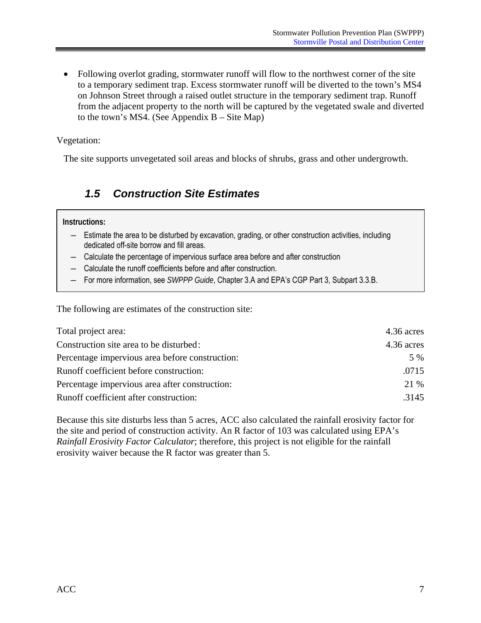<span id="page-12-0"></span>• Following overlot grading, stormwater runoff will flow to the northwest corner of the site to a temporary sediment trap. Excess stormwater runoff will be diverted to the town's MS4 on Johnson Street through a raised outlet structure in the temporary sediment trap. Runoff from the adjacent property to the north will be captured by the vegetated swale and diverted to the town's MS4. (See Appendix B – Site Map)

Vegetation:

The site supports unvegetated soil areas and blocks of shrubs, grass and other undergrowth.

### *1.5 Construction Site Estimates*

#### **Instructions:**

- ― Estimate the area to be disturbed by excavation, grading, or other construction activities, including dedicated off-site borrow and fill areas.
- ― Calculate the percentage of impervious surface area before and after construction
- ― Calculate the runoff coefficients before and after construction.
- ― For more information, see *SWPPP Guide*, Chapter 3.A and EPA's CGP Part 3, Subpart 3.3.B.

The following are estimates of the construction site:

| Total project area:                             | 4.36 acres |
|-------------------------------------------------|------------|
| Construction site area to be disturbed:         | 4.36 acres |
| Percentage impervious area before construction: | 5 %        |
| Runoff coefficient before construction:         | .0715      |
| Percentage impervious area after construction:  | 21 %       |
| Runoff coefficient after construction:          | .3145      |

Because this site disturbs less than 5 acres, ACC also calculated the rainfall erosivity factor for the site and period of construction activity. An R factor of 103 was calculated using EPA's *Rainfall Erosivity Factor Calculator*; therefore, this project is not eligible for the rainfall erosivity waiver because the R factor was greater than 5.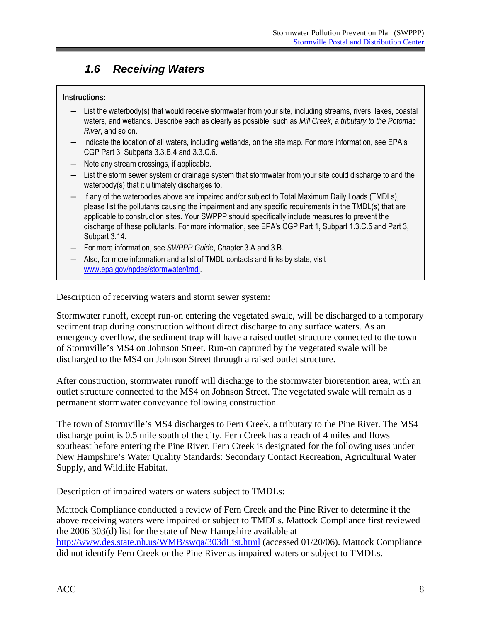### *1.6 Receiving Waters*

#### **Instructions:**

- ― List the waterbody(s) that would receive stormwater from your site, including streams, rivers, lakes, coastal waters, and wetlands. Describe each as clearly as possible, such as *Mill Creek, a tributary to the Potomac River*, and so on.
- ― Indicate the location of all waters, including wetlands, on the site map. For more information, see EPA's CGP Part 3, Subparts 3.3.B.4 and 3.3.C.6.
- ― Note any stream crossings, if applicable.
- ― List the storm sewer system or drainage system that stormwater from your site could discharge to and the waterbody(s) that it ultimately discharges to.
- ― If any of the waterbodies above are impaired and/or subject to Total Maximum Daily Loads (TMDLs), please list the pollutants causing the impairment and any specific requirements in the TMDL(s) that are applicable to construction sites. Your SWPPP should specifically include measures to prevent the discharge of these pollutants. For more information, see EPA's CGP Part 1, Subpart 1.3.C.5 and Part 3, Subpart 3.14.
- For more information, see *SWPPP Guide*, Chapter 3.A and 3.B.
- ― Also, for more information and a list of TMDL contacts and links by state, visit www.epa.gov/npdes/stormwater/tmdl.

Description of receiving waters and storm sewer system:

Stormwater runoff, except run-on entering the vegetated swale, will be discharged to a temporary sediment trap during construction without direct discharge to any surface waters. As an emergency overflow, the sediment trap will have a raised outlet structure connected to the town of Stormville's MS4 on Johnson Street. Run-on captured by the vegetated swale will be discharged to the MS4 on Johnson Street through a raised outlet structure.

After construction, stormwater runoff will discharge to the stormwater bioretention area, with an outlet structure connected to the MS4 on Johnson Street. The vegetated swale will remain as a permanent stormwater conveyance following construction.

The town of Stormville's MS4 discharges to Fern Creek, a tributary to the Pine River. The MS4 discharge point is 0.5 mile south of the city. Fern Creek has a reach of 4 miles and flows southeast before entering the Pine River. Fern Creek is designated for the following uses under New Hampshire's Water Quality Standards: Secondary Contact Recreation, Agricultural Water Supply, and Wildlife Habitat.

Description of impaired waters or waters subject to TMDLs:

Mattock Compliance conducted a review of Fern Creek and the Pine River to determine if the above receiving waters were impaired or subject to TMDLs. Mattock Compliance first reviewed the 2006 303(d) list for the state of New Hampshire available at http://www.des.state.nh.us/WMB/swqa/303dList.html (accessed 01/20/06). Mattock Compliance did not identify Fern Creek or the Pine River as impaired waters or subject to TMDLs.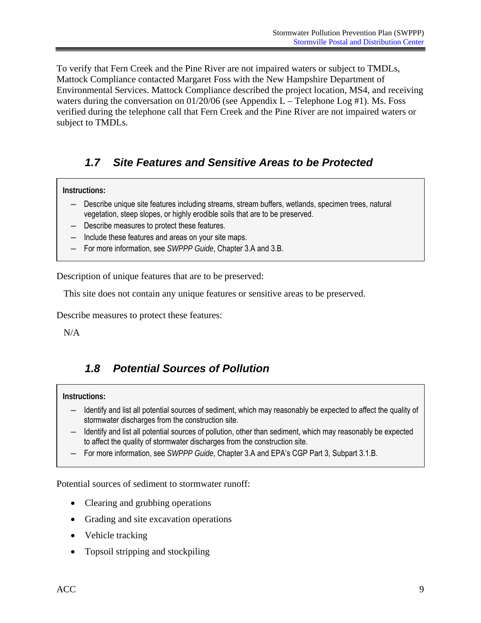<span id="page-14-0"></span>To verify that Fern Creek and the Pine River are not impaired waters or subject to TMDLs, Mattock Compliance contacted Margaret Foss with the New Hampshire Department of Environmental Services. Mattock Compliance described the project location, MS4, and receiving waters during the conversation on  $01/20/06$  (see Appendix L – Telephone Log #1). Ms. Foss verified during the telephone call that Fern Creek and the Pine River are not impaired waters or subject to TMDLs.

### *1.7 Site Features and Sensitive Areas to be Protected*

**Instructions:** 

- Describe unique site features including streams, stream buffers, wetlands, specimen trees, natural vegetation, steep slopes, or highly erodible soils that are to be preserved.
- ― Describe measures to protect these features.
- ― Include these features and areas on your site maps.
- ― For more information, see *SWPPP Guide*, Chapter 3.A and 3.B.

Description of unique features that are to be preserved:

This site does not contain any unique features or sensitive areas to be preserved.

Describe measures to protect these features:

N/A

### *1.8 Potential Sources of Pollution*

#### **Instructions:**

- ― Identify and list all potential sources of sediment, which may reasonably be expected to affect the quality of stormwater discharges from the construction site.
- ― Identify and list all potential sources of pollution, other than sediment, which may reasonably be expected to affect the quality of stormwater discharges from the construction site.
- For more information, see *SWPPP Guide*, Chapter 3.A and EPA's CGP Part 3, Subpart 3.1.B.

Potential sources of sediment to stormwater runoff:

- Clearing and grubbing operations
- Grading and site excavation operations
- Vehicle tracking
- Topsoil stripping and stockpiling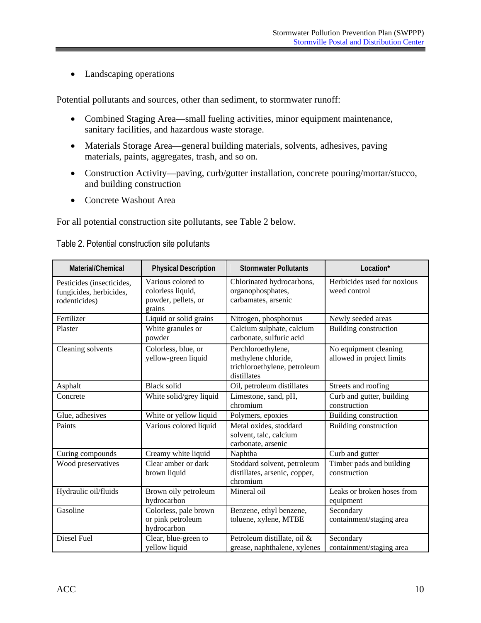• Landscaping operations

Potential pollutants and sources, other than sediment, to stormwater runoff:

- Combined Staging Area—small fueling activities, minor equipment maintenance, sanitary facilities, and hazardous waste storage.
- Materials Storage Area—general building materials, solvents, adhesives, paving materials, paints, aggregates, trash, and so on.
- • Construction Activity—paving, curb/gutter installation, concrete pouring/mortar/stucco, and building construction
- Concrete Washout Area

For all potential construction site pollutants, see Table 2 below.

| Material/Chemical                                                     | <b>Physical Description</b>                                              | <b>Stormwater Pollutants</b>                                                             | Location*                                          |
|-----------------------------------------------------------------------|--------------------------------------------------------------------------|------------------------------------------------------------------------------------------|----------------------------------------------------|
| Pesticides (insecticides,<br>fungicides, herbicides,<br>rodenticides) | Various colored to<br>colorless liquid,<br>powder, pellets, or<br>grains | Chlorinated hydrocarbons,<br>organophosphates,<br>carbamates, arsenic                    | Herbicides used for noxious<br>weed control        |
| Fertilizer                                                            | Liquid or solid grains                                                   | Nitrogen, phosphorous                                                                    | Newly seeded areas                                 |
| Plaster                                                               | White granules or<br>powder                                              | Calcium sulphate, calcium<br>carbonate, sulfuric acid                                    | Building construction                              |
| Cleaning solvents                                                     | Colorless, blue, or<br>yellow-green liquid                               | Perchloroethylene,<br>methylene chloride,<br>trichloroethylene, petroleum<br>distillates | No equipment cleaning<br>allowed in project limits |
| Asphalt                                                               | <b>Black solid</b>                                                       | Oil, petroleum distillates                                                               | Streets and roofing                                |
| Concrete                                                              | White solid/grey liquid                                                  | Limestone, sand, pH,<br>chromium                                                         | Curb and gutter, building<br>construction          |
| Glue, adhesives                                                       | White or yellow liquid                                                   | Polymers, epoxies                                                                        | Building construction                              |
| Paints                                                                | Various colored liquid                                                   | Metal oxides, stoddard<br>solvent, talc, calcium<br>carbonate, arsenic                   | Building construction                              |
| Curing compounds                                                      | Creamy white liquid                                                      | Naphtha                                                                                  | Curb and gutter                                    |
| Wood preservatives                                                    | Clear amber or dark<br>brown liquid                                      | Stoddard solvent, petroleum<br>distillates, arsenic, copper,<br>chromium                 | Timber pads and building<br>construction           |
| Hydraulic oil/fluids                                                  | Brown oily petroleum<br>hydrocarbon                                      | Mineral oil                                                                              | Leaks or broken hoses from<br>equipment            |
| Gasoline                                                              | Colorless, pale brown<br>or pink petroleum<br>hydrocarbon                | Benzene, ethyl benzene,<br>toluene, xylene, MTBE                                         | Secondary<br>containment/staging area              |
| <b>Diesel Fuel</b>                                                    | Clear, blue-green to<br>yellow liquid                                    | Petroleum distillate, oil &<br>grease, naphthalene, xylenes                              | Secondary<br>containment/staging area              |

Table 2. Potential construction site pollutants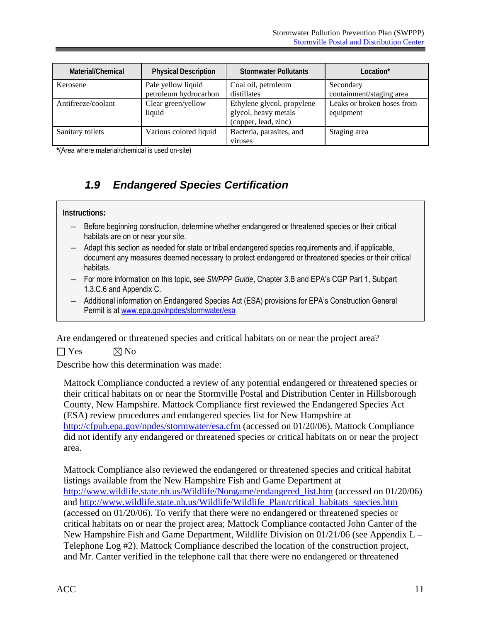<span id="page-16-0"></span>

| Material/Chemical  | <b>Physical Description</b>  | <b>Stormwater Pollutants</b>                                               | Location*                               |
|--------------------|------------------------------|----------------------------------------------------------------------------|-----------------------------------------|
| Kerosene           | Pale yellow liquid           | Coal oil, petroleum                                                        | Secondary                               |
|                    | petroleum hydrocarbon        | distillates                                                                | containment/staging area                |
| Antifreeze/coolant | Clear green/yellow<br>liquid | Ethylene glycol, propylene<br>glycol, heavy metals<br>(copper, lead, zinc) | Leaks or broken hoses from<br>equipment |
| Sanitary toilets   | Various colored liquid       | Bacteria, parasites, and<br>viruses                                        | Staging area                            |

**\***(Area where material/chemical is used on-site)

### *1.9 Endangered Species Certification*

#### **Instructions:**

- ― Before beginning construction, determine whether endangered or threatened species or their critical habitats are on or near your site.
- document any measures deemed necessary to protect endangered or threatened species or their critical ― Adapt this section as needed for state or tribal endangered species requirements and, if applicable, habitats.
- ― For more information on this topic, see *SWPPP Guide*, Chapter 3.B and EPA's CGP Part 1, Subpart 1.3.C.6 and Appendix C.
- ― Additional information on Endangered Species Act (ESA) provisions for EPA's Construction General Permit is at www.epa.gov/npdes/stormwater/esa

Are endangered or threatened species and critical habitats on or near the project area?

 $\Box$  Yes  $\boxtimes$  No

Describe how this determination was made:

Mattock Compliance conducted a review of any potential endangered or threatened species or their critical habitats on or near the Stormville Postal and Distribution Center in Hillsborough County, New Hampshire. Mattock Compliance first reviewed the Endangered Species Act (ESA) review procedures and endangered species list for New Hampshire at http://cfpub.epa.gov/npdes/stormwater/esa.cfm (accessed on 01/20/06). Mattock Compliance did not identify any endangered or threatened species or critical habitats on or near the project area.

Mattock Compliance also reviewed the endangered or threatened species and critical habitat listings available from the New Hampshire Fish and Game Department at http://www.wildlife.state.nh.us/Wildlife/Nongame/endangered\_list.htm (accessed on 01/20/06) and http://www.wildlife.state.nh.us/Wildlife/Wildlife\_Plan/critical\_habitats\_species.htm (accessed on 01/20/06). To verify that there were no endangered or threatened species or critical habitats on or near the project area; Mattock Compliance contacted John Canter of the New Hampshire Fish and Game Department, Wildlife Division on  $01/21/06$  (see Appendix L – Telephone Log #2). Mattock Compliance described the location of the construction project, and Mr. Canter verified in the telephone call that there were no endangered or threatened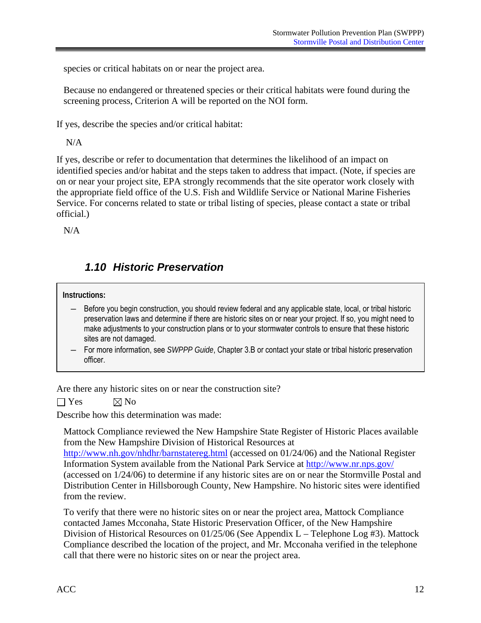<span id="page-17-0"></span>species or critical habitats on or near the project area.

Because no endangered or threatened species or their critical habitats were found during the screening process, Criterion A will be reported on the NOI form.

If yes, describe the species and/or critical habitat:

N/A

If yes, describe or refer to documentation that determines the likelihood of an impact on identified species and/or habitat and the steps taken to address that impact. (Note, if species are on or near your project site, EPA strongly recommends that the site operator work closely with the appropriate field office of the U.S. Fish and Wildlife Service or National Marine Fisheries Service. For concerns related to state or tribal listing of species, please contact a state or tribal official.)

N/A

### *1.10 Historic Preservation*

#### **Instructions:**

- ― Before you begin construction, you should review federal and any applicable state, local, or tribal historic preservation laws and determine if there are historic sites on or near your project. If so, you might need to make adjustments to your construction plans or to your stormwater controls to ensure that these historic sites are not damaged.
- For more information, see *SWPPP Guide*, Chapter 3.B or contact your state or tribal historic preservation officer.

Are there any historic sites on or near the construction site?

 $\Box$  Yes  $\boxtimes$  No

Describe how this determination was made:

Mattock Compliance reviewed the New Hampshire State Register of Historic Places available from the New Hampshire Division of Historical Resources at http://www.nh.gov/nhdhr/barnstatereg.html (accessed on 01/24/06) and the National Register Information System available from the National Park Service at http://www.nr.nps.gov/ (accessed on 1/24/06) to determine if any historic sites are on or near the Stormville Postal and Distribution Center in Hillsborough County, New Hampshire. No historic sites were identified from the review.

To verify that there were no historic sites on or near the project area, Mattock Compliance contacted James Mcconaha, State Historic Preservation Officer, of the New Hampshire Division of Historical Resources on 01/25/06 (See Appendix L – Telephone Log #3). Mattock Compliance described the location of the project, and Mr. Mcconaha verified in the telephone call that there were no historic sites on or near the project area.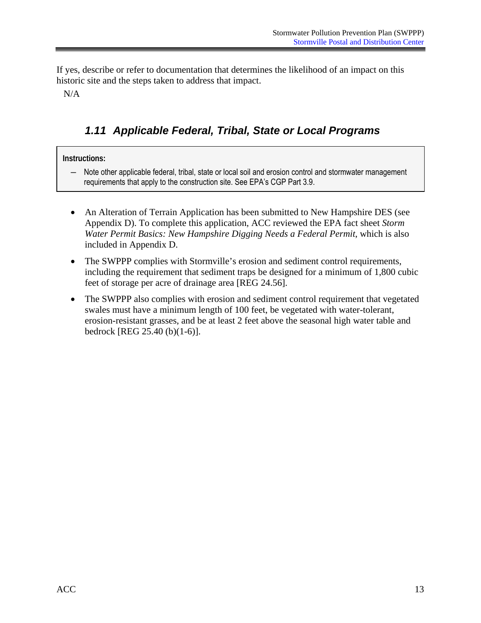<span id="page-18-0"></span>If yes, describe or refer to documentation that determines the likelihood of an impact on this historic site and the steps taken to address that impact.

N/A

### *1.11 Applicable Federal, Tribal, State or Local Programs*

#### **Instructions:**

― Note other applicable federal, tribal, state or local soil and erosion control and stormwater management requirements that apply to the construction site. See EPA's CGP Part 3.9.

- An Alteration of Terrain Application has been submitted to New Hampshire DES (see Appendix D). To complete this application, ACC reviewed the EPA fact sheet *Storm Water Permit Basics: New Hampshire Digging Needs a Federal Permit*, which is also included in Appendix D.
- The SWPPP complies with Stormville's erosion and sediment control requirements, including the requirement that sediment traps be designed for a minimum of 1,800 cubic feet of storage per acre of drainage area [REG 24.56].
- The SWPPP also complies with erosion and sediment control requirement that vegetated swales must have a minimum length of 100 feet, be vegetated with water-tolerant, erosion-resistant grasses, and be at least 2 feet above the seasonal high water table and bedrock [REG 25.40 (b)(1-6)].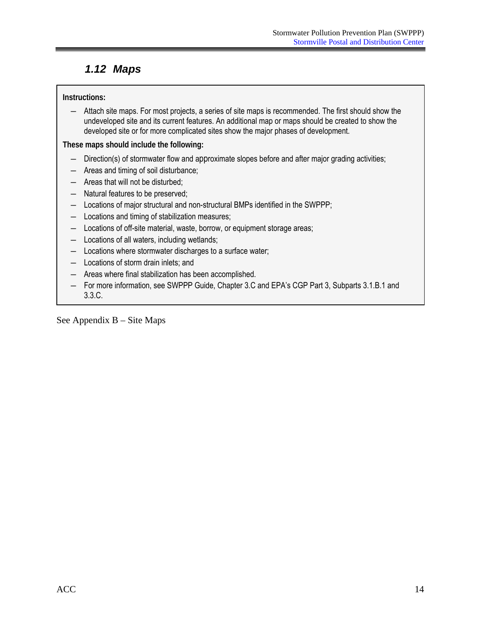### <span id="page-19-0"></span>*1.12 Maps*

#### **Instructions:**

― Attach site maps. For most projects, a series of site maps is recommended. The first should show the undeveloped site and its current features. An additional map or maps should be created to show the developed site or for more complicated sites show the major phases of development.

**These maps should include the following:** 

- ― Direction(s) of stormwater flow and approximate slopes before and after major grading activities;
- ― Areas and timing of soil disturbance;
- ― Areas that will not be disturbed;
- ― Natural features to be preserved;
- ― Locations of major structural and non-structural BMPs identified in the SWPPP;
- ― Locations and timing of stabilization measures;
- ― Locations of off-site material, waste, borrow, or equipment storage areas;
- ― Locations of all waters, including wetlands;
- ― Locations where stormwater discharges to a surface water;
- ― Locations of storm drain inlets; and
- ― Areas where final stabilization has been accomplished.
- ― For more information, see SWPPP Guide, Chapter 3.C and EPA's CGP Part 3, Subparts 3.1.B.1 and 3.3.C.

See Appendix B – Site Maps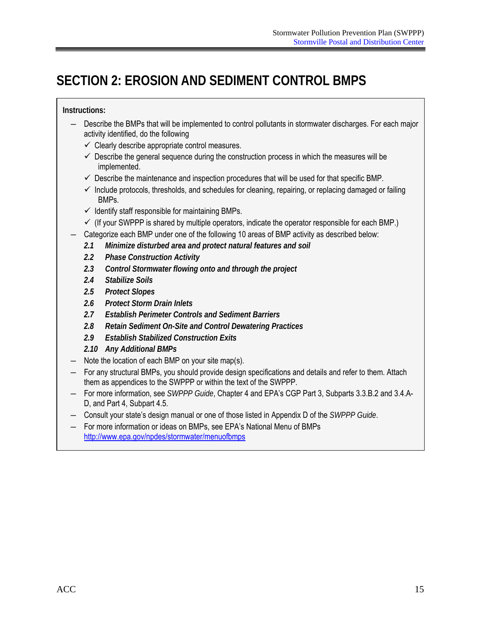# <span id="page-20-0"></span>**SECTION 2: EROSION AND SEDIMENT CONTROL BMPS**

**Instructions:** 

- Describe the BMPs that will be implemented to control pollutants in stormwater discharges. For each major activity identified, do the following
	- $\checkmark$  Clearly describe appropriate control measures.
	- $\checkmark$  Describe the general sequence during the construction process in which the measures will be implemented.
	- $\checkmark$  Describe the maintenance and inspection procedures that will be used for that specific BMP.
	- $\checkmark$  Include protocols, thresholds, and schedules for cleaning, repairing, or replacing damaged or failing BMPs.
	- $\checkmark$  Identify staff responsible for maintaining BMPs.
	- $\checkmark$  (If your SWPPP is shared by multiple operators, indicate the operator responsible for each BMP.)
- Categorize each BMP under one of the following 10 areas of BMP activity as described below:
	- *2.1 Minimize disturbed area and protect natural features and soil*
	- *2.2 Phase Construction Activity*
	- *2.3 Control Stormwater flowing onto and through the project*
	- *2.4 Stabilize Soils*
	- *2.5 Protect Slopes*
	- *2.6 Protect Storm Drain Inlets*
	- *2.7 Establish Perimeter Controls and Sediment Barriers*
	- *2.8 Retain Sediment On-Site and Control Dewatering Practices*
	- *2.9 Establish Stabilized Construction Exits*
	- *2.10 Any Additional BMPs*
- ― Note the location of each BMP on your site map(s).
- For any structural BMPs, you should provide design specifications and details and refer to them. Attach them as appendices to the SWPPP or within the text of the SWPPP.
- ― For more information, see *SWPPP Guide*, Chapter 4 and EPA's CGP Part 3, Subparts 3.3.B.2 and 3.4.A-D, and Part 4, Subpart 4.5.
- Consult your state's design manual or one of those listed in Appendix D of the *SWPPP Guide*.
- ― For more information or ideas on BMPs, see EPA's National Menu of BMPs http://www.epa.gov/npdes/stormwater/menuofbmps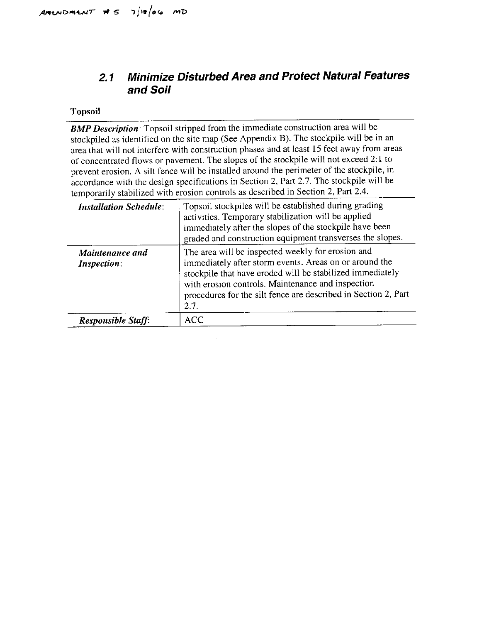#### **Minimize Disturbed Area and Protect Natural Features**  $2.1$ and Soil

#### **Topsoil**

**BMP Description:** Topsoil stripped from the immediate construction area will be stockpiled as identified on the site map (See Appendix B). The stockpile will be in an area that will not interfere with construction phases and at least 15 feet away from areas of concentrated flows or pavement. The slopes of the stockpile will not exceed 2:1 to prevent erosion. A silt fence will be installed around the perimeter of the stockpile, in accordance with the design specifications in Section 2, Part 2.7. The stockpile will be temporarily stabilized with erosion controls as described in Section 2, Part 2.4.

| <b>Installation Schedule:</b>  | Topsoil stockpiles will be established during grading<br>activities. Temporary stabilization will be applied<br>immediately after the slopes of the stockpile have been<br>graded and construction equipment transverses the slopes.                                                                    |
|--------------------------------|---------------------------------------------------------------------------------------------------------------------------------------------------------------------------------------------------------------------------------------------------------------------------------------------------------|
| Maintenance and<br>Inspection: | The area will be inspected weekly for erosion and<br>immediately after storm events. Areas on or around the<br>stockpile that have eroded will be stabilized immediately<br>with erosion controls. Maintenance and inspection<br>procedures for the silt fence are described in Section 2, Part<br>2.7. |
| <b>Responsible Staff.</b>      | <b>ACC</b>                                                                                                                                                                                                                                                                                              |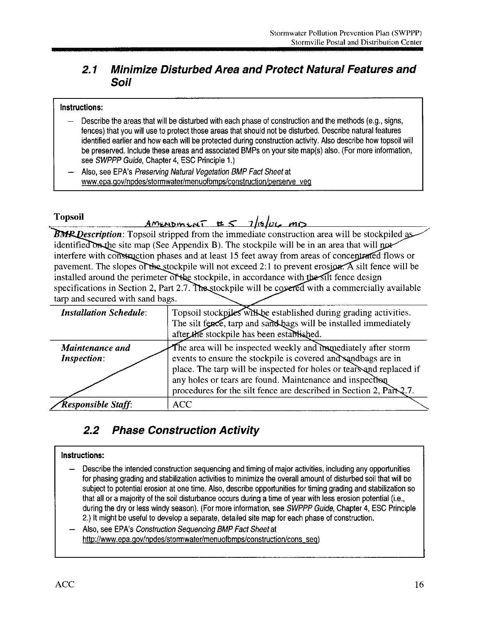#### **Minimize Disturbed Area and Protect Natural Features and**  $2.1$ Soil

#### Instructions:

- Describe the areas that will be disturbed with each phase of construction and the methods (e.g., signs, fences) that you will use to protect those areas that should not be disturbed. Describe natural features identified earlier and how each will be protected during construction activity. Also describe how topsoil will be preserved. Include these areas and associated BMPs on your site map(s) also. (For more information, see SWPPP Guide, Chapter 4, ESC Principle 1.)
- Also, see EPA's Preserving Natural Vegetation BMP Fact Sheet at www.epa.gov/npdes/stormwater/menuofbmps/construction/perserve\_veg

#### **Topsoil**

### Amenoment  $\pm 5$  1/10/06 mg

**BMR Description:** Topsoil stripped from the immediate construction area will be stockpiled as identified on the site map (See Appendix B). The stockpile will be in an area that will not interfere with construction phases and at least 15 feet away from areas of concentrated flows or pavement. The slopes of the stockpile will not exceed 2:1 to prevent erosion. A silt fence will be installed around the perimeter of the stockpile, in accordance with the silt fence design specifications in Section 2, Part 2.7. The stockpile will be covered with a commercially available tarp and secured with sand bags.

| <b>Installation Schedule:</b>         | Topsoil stockpiles will be established during grading activities.<br>The silt fence, tarp and sand bags will be installed immediately<br>after the stockpile has been established.                     |
|---------------------------------------|--------------------------------------------------------------------------------------------------------------------------------------------------------------------------------------------------------|
| Maintenance and<br><b>Inspection:</b> | The area will be inspected weekly and immediately after storm<br>events to ensure the stockpile is covered and sandbags are in<br>place. The tarp will be inspected for holes or tears and replaced if |
|                                       | any holes or tears are found. Maintenance and inspection<br>procedures for the silt fence are described in Section 2, Part 2.7.                                                                        |
| Responsible Staff:                    | <b>ACC</b>                                                                                                                                                                                             |

#### $2.2$ **Phase Construction Activity**

#### Instructions:

- Describe the intended construction sequencing and timing of major activities, including any opportunities for phasing grading and stabilization activities to minimize the overall amount of disturbed soil that will be subject to potential erosion at one time. Also, describe opportunities for timing grading and stabilization so that all or a majority of the soil disturbance occurs during a time of year with less erosion potential (i.e., during the dry or less windy season). (For more information, see SWPPP Guide, Chapter 4, ESC Principle 2.) It might be useful to develop a separate, detailed site map for each phase of construction.
- Also, see EPA's Construction Sequencing BMP Fact Sheet at http://www.epa.gov/npdes/stormwater/menuofbmps/construction/cons\_seq)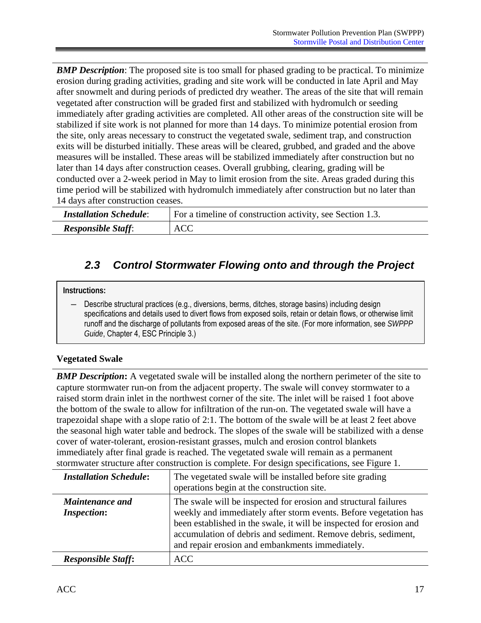<span id="page-23-0"></span>*BMP Description*: The proposed site is too small for phased grading to be practical. To minimize erosion during grading activities, grading and site work will be conducted in late April and May after snowmelt and during periods of predicted dry weather. The areas of the site that will remain vegetated after construction will be graded first and stabilized with hydromulch or seeding immediately after grading activities are completed. All other areas of the construction site will be stabilized if site work is not planned for more than 14 days. To minimize potential erosion from the site, only areas necessary to construct the vegetated swale, sediment trap, and construction exits will be disturbed initially. These areas will be cleared, grubbed, and graded and the above measures will be installed. These areas will be stabilized immediately after construction but no later than 14 days after construction ceases. Overall grubbing, clearing, grading will be conducted over a 2-week period in May to limit erosion from the site. Areas graded during this time period will be stabilized with hydromulch immediately after construction but no later than 14 days after construction ceases.

| <b>Installation Schedule:</b> | For a timeline of construction activity, see Section 1.3. |
|-------------------------------|-----------------------------------------------------------|
| <b>Responsible Staff:</b>     | <b>ACC</b>                                                |

### *2.3 Control Stormwater Flowing onto and through the Project*

#### **Instructions:**

Describe structural practices (e.g., diversions, berms, ditches, storage basins) including design specifications and details used to divert flows from exposed soils, retain or detain flows, or otherwise limit runoff and the discharge of pollutants from exposed areas of the site. (For more information, see *SWPPP Guide*, Chapter 4, ESC Principle 3.)

#### **Vegetated Swale**

**BMP Description:** A vegetated swale will be installed along the northern perimeter of the site to capture stormwater run-on from the adjacent property. The swale will convey stormwater to a raised storm drain inlet in the northwest corner of the site. The inlet will be raised 1 foot above the bottom of the swale to allow for infiltration of the run-on. The vegetated swale will have a trapezoidal shape with a slope ratio of 2:1. The bottom of the swale will be at least 2 feet above the seasonal high water table and bedrock. The slopes of the swale will be stabilized with a dense cover of water-tolerant, erosion-resistant grasses, mulch and erosion control blankets immediately after final grade is reached. The vegetated swale will remain as a permanent stormwater structure after construction is complete. For design specifications, see Figure 1.

| <b>Installation Schedule:</b>         | The vegetated swale will be installed before site grading<br>operations begin at the construction site.                                                                                                                                                                                                                        |
|---------------------------------------|--------------------------------------------------------------------------------------------------------------------------------------------------------------------------------------------------------------------------------------------------------------------------------------------------------------------------------|
| Maintenance and<br><b>Inspection:</b> | The swale will be inspected for erosion and structural failures<br>weekly and immediately after storm events. Before vegetation has<br>been established in the swale, it will be inspected for erosion and<br>accumulation of debris and sediment. Remove debris, sediment,<br>and repair erosion and embankments immediately. |
| <b>Responsible Staff:</b>             | <b>ACC</b>                                                                                                                                                                                                                                                                                                                     |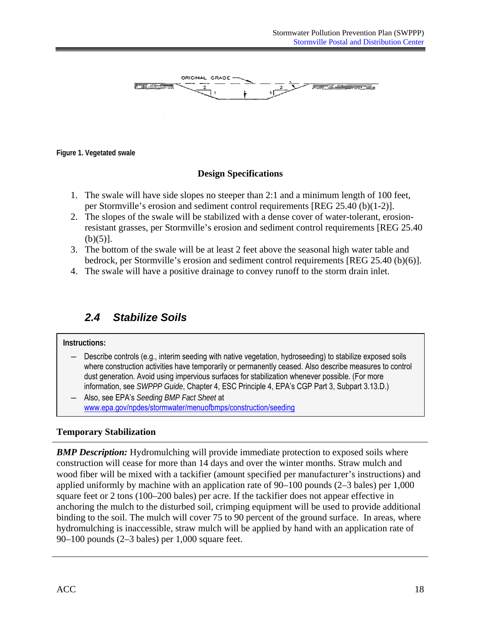<span id="page-24-0"></span>

**Figure 1. Vegetated swale** 

#### **Design Specifications**

- 1. The swale will have side slopes no steeper than 2:1 and a minimum length of 100 feet, per Stormville's erosion and sediment control requirements [REG 25.40 (b)(1-2)].
- 2. The slopes of the swale will be stabilized with a dense cover of water-tolerant, erosionresistant grasses, per Stormville's erosion and sediment control requirements [REG 25.40  $(b)(5)$ ].
- 3. The bottom of the swale will be at least 2 feet above the seasonal high water table and bedrock, per Stormville's erosion and sediment control requirements [REG 25.40 (b)(6)].
- 4. The swale will have a positive drainage to convey runoff to the storm drain inlet.

### *2.4 Stabilize Soils*

#### **Instructions:**

- ― Describe controls (e.g., interim seeding with native vegetation, hydroseeding) to stabilize exposed soils where construction activities have temporarily or permanently ceased. Also describe measures to control dust generation. Avoid using impervious surfaces for stabilization whenever possible. (For more information, see *SWPPP Guide*, Chapter 4, ESC Principle 4, EPA's CGP Part 3, Subpart 3.13.D.)
- ― Also, see EPA's *Seeding BMP Fact Sheet* at www.epa.gov/npdes/stormwater/menuofbmps/construction/seeding

#### **Temporary Stabilization**

*BMP Description:* Hydromulching will provide immediate protection to exposed soils where construction will cease for more than 14 days and over the winter months. Straw mulch and wood fiber will be mixed with a tackifier (amount specified per manufacturer's instructions) and applied uniformly by machine with an application rate of  $90-100$  pounds  $(2-3$  bales) per 1,000 square feet or 2 tons (100–200 bales) per acre. If the tackifier does not appear effective in anchoring the mulch to the disturbed soil, crimping equipment will be used to provide additional binding to the soil. The mulch will cover 75 to 90 percent of the ground surface. In areas, where hydromulching is inaccessible, straw mulch will be applied by hand with an application rate of 90–100 pounds (2–3 bales) per 1,000 square feet.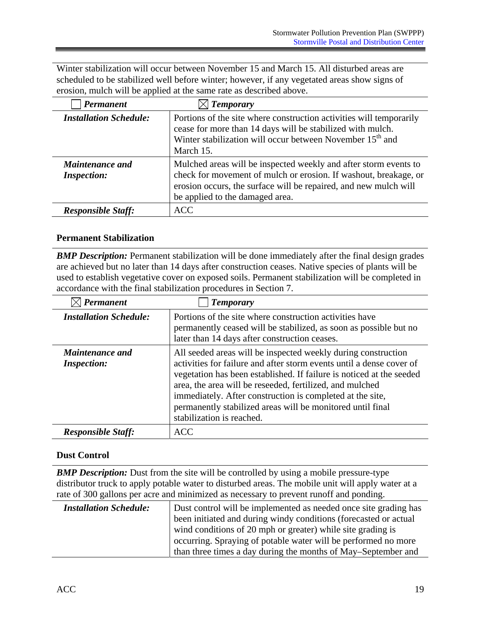Winter stabilization will occur between November 15 and March 15. All disturbed areas are scheduled to be stabilized well before winter; however, if any vegetated areas show signs of erosion, mulch will be applied at the same rate as described above.

| Permanent                                    | $\boxtimes$ Temporary                                                                                                                                                                                                                       |
|----------------------------------------------|---------------------------------------------------------------------------------------------------------------------------------------------------------------------------------------------------------------------------------------------|
| <b>Installation Schedule:</b>                | Portions of the site where construction activities will temporarily<br>cease for more than 14 days will be stabilized with mulch.<br>Winter stabilization will occur between November 15 <sup>th</sup> and<br>March 15.                     |
| <b>Maintenance and</b><br><b>Inspection:</b> | Mulched areas will be inspected weekly and after storm events to<br>check for movement of mulch or erosion. If washout, breakage, or<br>erosion occurs, the surface will be repaired, and new mulch will<br>be applied to the damaged area. |
| <b>Responsible Staff:</b>                    | <b>ACC</b>                                                                                                                                                                                                                                  |

#### **Permanent Stabilization**

**BMP Description:** Permanent stabilization will be done immediately after the final design grades are achieved but no later than 14 days after construction ceases. Native species of plants will be used to establish vegetative cover on exposed soils. Permanent stabilization will be completed in accordance with the final stabilization procedures in Section 7.

| Permanent                                    | <b>Temporary</b>                                                                                                                                                                                                                                                                                                                                                                                                                  |
|----------------------------------------------|-----------------------------------------------------------------------------------------------------------------------------------------------------------------------------------------------------------------------------------------------------------------------------------------------------------------------------------------------------------------------------------------------------------------------------------|
| <b>Installation Schedule:</b>                | Portions of the site where construction activities have<br>permanently ceased will be stabilized, as soon as possible but no<br>later than 14 days after construction ceases.                                                                                                                                                                                                                                                     |
| <b>Maintenance and</b><br><i>Inspection:</i> | All seeded areas will be inspected weekly during construction<br>activities for failure and after storm events until a dense cover of<br>vegetation has been established. If failure is noticed at the seeded<br>area, the area will be reseeded, fertilized, and mulched<br>immediately. After construction is completed at the site,<br>permanently stabilized areas will be monitored until final<br>stabilization is reached. |
| <b>Responsible Staff:</b>                    | <b>ACC</b>                                                                                                                                                                                                                                                                                                                                                                                                                        |

#### **Dust Control**

**BMP Description:** Dust from the site will be controlled by using a mobile pressure-type distributor truck to apply potable water to disturbed areas. The mobile unit will apply water at a

| rate of 300 gallons per acre and minimized as necessary to prevent runoff and ponding. |                                                                  |  |
|----------------------------------------------------------------------------------------|------------------------------------------------------------------|--|
| <b>Installation Schedule:</b>                                                          | Dust control will be implemented as needed once site grading has |  |
|                                                                                        | been initiated and during windy conditions (forecasted or actual |  |
|                                                                                        | wind conditions of 20 mph or greater) while site grading is      |  |
|                                                                                        | occurring. Spraying of potable water will be performed no more   |  |
|                                                                                        | than three times a day during the months of May–September and    |  |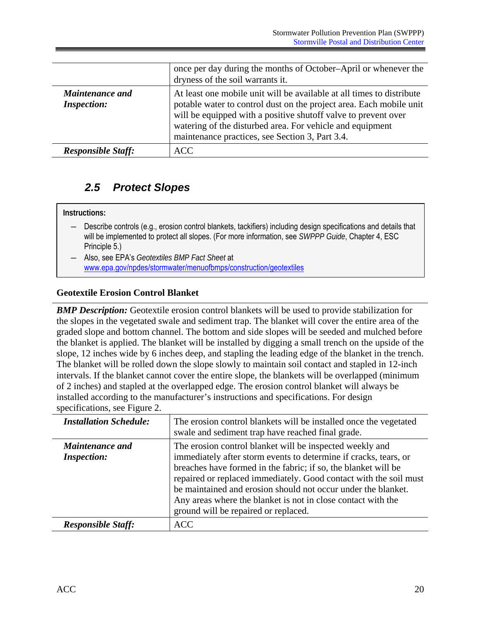<span id="page-26-0"></span>

|                                              | once per day during the months of October–April or whenever the<br>dryness of the soil warrants it.                                                                                                                                                                                                                             |
|----------------------------------------------|---------------------------------------------------------------------------------------------------------------------------------------------------------------------------------------------------------------------------------------------------------------------------------------------------------------------------------|
| <b>Maintenance and</b><br><b>Inspection:</b> | At least one mobile unit will be available at all times to distribute<br>potable water to control dust on the project area. Each mobile unit<br>will be equipped with a positive shut off valve to prevent over<br>watering of the disturbed area. For vehicle and equipment<br>maintenance practices, see Section 3, Part 3.4. |
| <b>Responsible Staff:</b>                    | ACC.                                                                                                                                                                                                                                                                                                                            |

### *2.5 Protect Slopes*

#### **Instructions:**

- ― Describe controls (e.g., erosion control blankets, tackifiers) including design specifications and details that will be implemented to protect all slopes. (For more information, see *SWPPP Guide*, Chapter 4, ESC Principle 5.)
- Also, see EPA's *Geotextiles BMP Fact Sheet* at www.epa.gov/npdes/stormwater/menuofbmps/construction/geotextiles

#### **Geotextile Erosion Control Blanket**

*BMP Description:* Geotextile erosion control blankets will be used to provide stabilization for the slopes in the vegetated swale and sediment trap. The blanket will cover the entire area of the graded slope and bottom channel. The bottom and side slopes will be seeded and mulched before the blanket is applied. The blanket will be installed by digging a small trench on the upside of the slope, 12 inches wide by 6 inches deep, and stapling the leading edge of the blanket in the trench. The blanket will be rolled down the slope slowly to maintain soil contact and stapled in 12-inch intervals. If the blanket cannot cover the entire slope, the blankets will be overlapped (minimum of 2 inches) and stapled at the overlapped edge. The erosion control blanket will always be installed according to the manufacturer's instructions and specifications. For design specifications, see Figure 2.

| <b>Installation Schedule:</b>                | The erosion control blankets will be installed once the vegetated<br>swale and sediment trap have reached final grade.                                                                                                                                                                                                                                                                                                                       |
|----------------------------------------------|----------------------------------------------------------------------------------------------------------------------------------------------------------------------------------------------------------------------------------------------------------------------------------------------------------------------------------------------------------------------------------------------------------------------------------------------|
| <b>Maintenance and</b><br><b>Inspection:</b> | The erosion control blanket will be inspected weekly and<br>immediately after storm events to determine if cracks, tears, or<br>breaches have formed in the fabric; if so, the blanket will be<br>repaired or replaced immediately. Good contact with the soil must<br>be maintained and erosion should not occur under the blanket.<br>Any areas where the blanket is not in close contact with the<br>ground will be repaired or replaced. |
| <b>Responsible Staff:</b>                    | <b>ACC</b>                                                                                                                                                                                                                                                                                                                                                                                                                                   |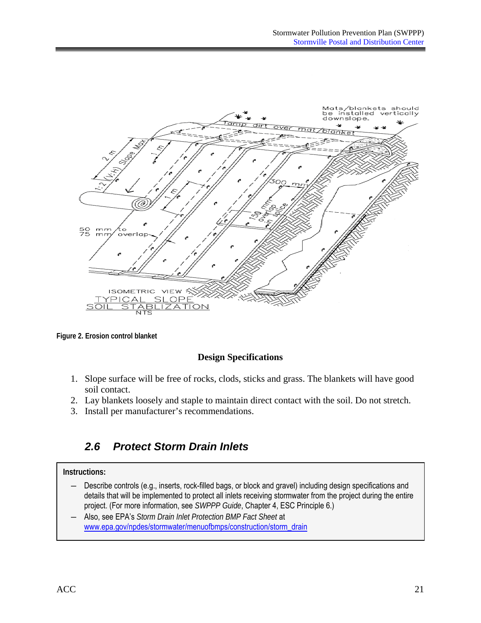<span id="page-27-0"></span>

**Figure 2. Erosion control blanket** 

#### **Design Specifications**

- 1. Slope surface will be free of rocks, clods, sticks and grass. The blankets will have good soil contact.
- 2. Lay blankets loosely and staple to maintain direct contact with the soil. Do not stretch.
- 3. Install per manufacturer's recommendations.

### *2.6 Protect Storm Drain Inlets*

#### **Instructions:**

- ― Describe controls (e.g., inserts, rock-filled bags, or block and gravel) including design specifications and details that will be implemented to protect all inlets receiving stormwater from the project during the entire project. (For more information, see *SWPPP Guide*, Chapter 4, ESC Principle 6.)
- ― Also, see EPA's *Storm Drain Inlet Protection BMP Fact Sheet* at www.epa.gov/npdes/stormwater/menuofbmps/construction/storm\_drain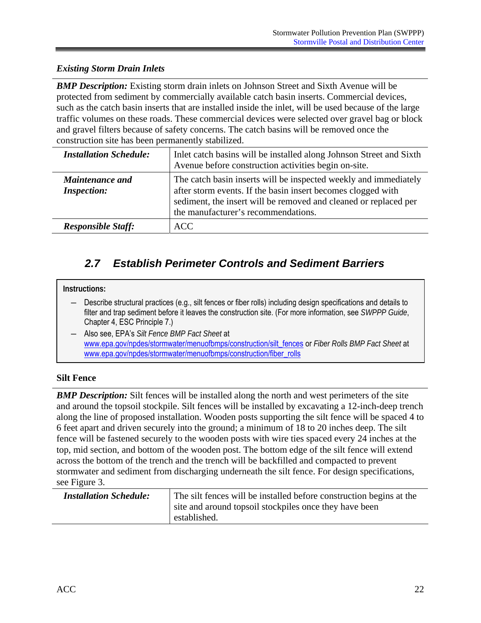#### <span id="page-28-0"></span>*Existing Storm Drain Inlets*

**BMP Description:** Existing storm drain inlets on Johnson Street and Sixth Avenue will be protected from sediment by commercially available catch basin inserts. Commercial devices, such as the catch basin inserts that are installed inside the inlet, will be used because of the large traffic volumes on these roads. These commercial devices were selected over gravel bag or block and gravel filters because of safety concerns. The catch basins will be removed once the construction site has been permanently stabilized.

| <b>Installation Schedule:</b>                | Inlet catch basins will be installed along Johnson Street and Sixth<br>Avenue before construction activities begin on-site.                                                                                                                 |
|----------------------------------------------|---------------------------------------------------------------------------------------------------------------------------------------------------------------------------------------------------------------------------------------------|
| <b>Maintenance and</b><br><b>Inspection:</b> | The catch basin inserts will be inspected weekly and immediately<br>after storm events. If the basin insert becomes clogged with<br>sediment, the insert will be removed and cleaned or replaced per<br>the manufacturer's recommendations. |
| <b>Responsible Staff:</b>                    | <b>ACC</b>                                                                                                                                                                                                                                  |

### *2.7 Establish Perimeter Controls and Sediment Barriers*

#### **Instructions:**

- Describe structural practices (e.g., silt fences or fiber rolls) including design specifications and details to filter and trap sediment before it leaves the construction site. (For more information, see *SWPPP Guide*, Chapter 4, ESC Principle 7.)
- ― Also see, EPA's *Silt Fence BMP Fact Sheet* at www.epa.gov/npdes/stormwater/menuofbmps/construction/silt\_fences or *Fiber Rolls BMP Fact Sheet* at www.epa.gov/npdes/stormwater/menuofbmps/construction/fiber\_rolls

#### **Silt Fence**

**BMP Description:** Silt fences will be installed along the north and west perimeters of the site and around the topsoil stockpile. Silt fences will be installed by excavating a 12-inch-deep trench along the line of proposed installation. Wooden posts supporting the silt fence will be spaced 4 to 6 feet apart and driven securely into the ground; a minimum of 18 to 20 inches deep. The silt fence will be fastened securely to the wooden posts with wire ties spaced every 24 inches at the top, mid section, and bottom of the wooden post. The bottom edge of the silt fence will extend across the bottom of the trench and the trench will be backfilled and compacted to prevent stormwater and sediment from discharging underneath the silt fence. For design specifications, see Figure 3.

| <b>Installation Schedule:</b> | The silt fences will be installed before construction begins at the<br>site and around topsoil stockpiles once they have been<br>established. |
|-------------------------------|-----------------------------------------------------------------------------------------------------------------------------------------------|
|                               |                                                                                                                                               |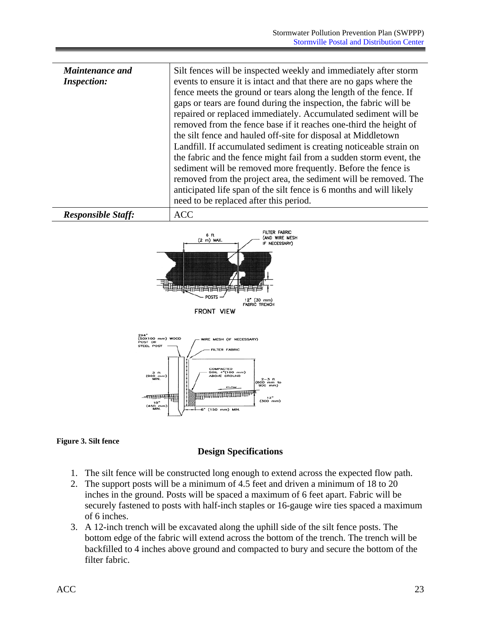| <b>Maintenance and</b><br><b>Inspection:</b> | Silt fences will be inspected weekly and immediately after storm<br>events to ensure it is intact and that there are no gaps where the<br>fence meets the ground or tears along the length of the fence. If<br>gaps or tears are found during the inspection, the fabric will be<br>repaired or replaced immediately. Accumulated sediment will be<br>removed from the fence base if it reaches one-third the height of<br>the silt fence and hauled off-site for disposal at Middletown<br>Landfill. If accumulated sediment is creating noticeable strain on<br>the fabric and the fence might fail from a sudden storm event, the<br>sediment will be removed more frequently. Before the fence is<br>removed from the project area, the sediment will be removed. The<br>anticipated life span of the silt fence is 6 months and will likely<br>need to be replaced after this period. |
|----------------------------------------------|--------------------------------------------------------------------------------------------------------------------------------------------------------------------------------------------------------------------------------------------------------------------------------------------------------------------------------------------------------------------------------------------------------------------------------------------------------------------------------------------------------------------------------------------------------------------------------------------------------------------------------------------------------------------------------------------------------------------------------------------------------------------------------------------------------------------------------------------------------------------------------------------|
| <b>Responsible Staff:</b>                    | <b>ACC</b>                                                                                                                                                                                                                                                                                                                                                                                                                                                                                                                                                                                                                                                                                                                                                                                                                                                                                 |



 $(150 \text{ mm})$  MIN.

#### **Figure 3. Silt fence**

#### **Design Specifications**

- 1. The silt fence will be constructed long enough to extend across the expected flow path.
- 2. The support posts will be a minimum of 4.5 feet and driven a minimum of 18 to 20 inches in the ground. Posts will be spaced a maximum of 6 feet apart. Fabric will be securely fastened to posts with half-inch staples or 16-gauge wire ties spaced a maximum of 6 inches.
- 3. A 12-inch trench will be excavated along the uphill side of the silt fence posts. The bottom edge of the fabric will extend across the bottom of the trench. The trench will be backfilled to 4 inches above ground and compacted to bury and secure the bottom of the filter fabric.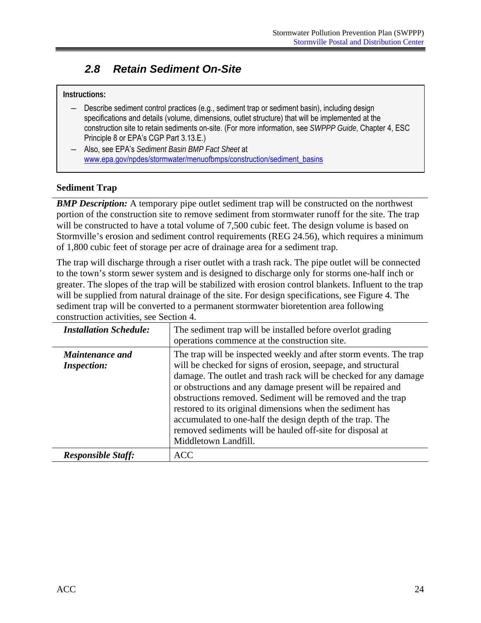### <span id="page-30-0"></span>*2.8 Retain Sediment On-Site*

#### **Instructions:**

- Describe sediment control practices (e.g., sediment trap or sediment basin), including design specifications and details (volume, dimensions, outlet structure) that will be implemented at the construction site to retain sediments on-site. (For more information, see *SWPPP Guide*, Chapter 4, ESC Principle 8 or EPA's CGP Part 3.13.E.)
- ― Also, see EPA's *Sediment Basin BMP Fact Sheet* at www.epa.gov/npdes/stormwater/menuofbmps/construction/sediment\_basins

#### **Sediment Trap**

**BMP Description:** A temporary pipe outlet sediment trap will be constructed on the northwest portion of the construction site to remove sediment from stormwater runoff for the site. The trap will be constructed to have a total volume of 7,500 cubic feet. The design volume is based on Stormville's erosion and sediment control requirements (REG 24.56), which requires a minimum of 1,800 cubic feet of storage per acre of drainage area for a sediment trap.

 construction activities, see Section 4. The trap will discharge through a riser outlet with a trash rack. The pipe outlet will be connected to the town's storm sewer system and is designed to discharge only for storms one-half inch or greater. The slopes of the trap will be stabilized with erosion control blankets. Influent to the trap will be supplied from natural drainage of the site. For design specifications, see Figure 4. The sediment trap will be converted to a permanent stormwater bioretention area following

| <b>Installation Schedule:</b>                | The sediment trap will be installed before overlot grading<br>operations commence at the construction site.                                                                                                                                                                                                                                                                                                                                                                                                                                          |
|----------------------------------------------|------------------------------------------------------------------------------------------------------------------------------------------------------------------------------------------------------------------------------------------------------------------------------------------------------------------------------------------------------------------------------------------------------------------------------------------------------------------------------------------------------------------------------------------------------|
| <b>Maintenance and</b><br><b>Inspection:</b> | The trap will be inspected weekly and after storm events. The trap<br>will be checked for signs of erosion, seepage, and structural<br>damage. The outlet and trash rack will be checked for any damage<br>or obstructions and any damage present will be repaired and<br>obstructions removed. Sediment will be removed and the trap<br>restored to its original dimensions when the sediment has<br>accumulated to one-half the design depth of the trap. The<br>removed sediments will be hauled off-site for disposal at<br>Middletown Landfill. |
| <b>Responsible Staff:</b>                    | <b>ACC</b>                                                                                                                                                                                                                                                                                                                                                                                                                                                                                                                                           |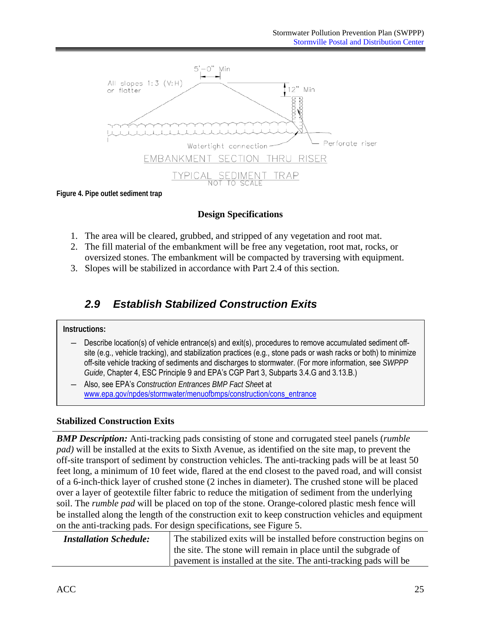<span id="page-31-0"></span>

**Figure 4. Pipe outlet sediment trap** 

### **Design Specifications**

- 1. The area will be cleared, grubbed, and stripped of any vegetation and root mat.
- 2. The fill material of the embankment will be free any vegetation, root mat, rocks, or oversized stones. The embankment will be compacted by traversing with equipment.
- 3. Slopes will be stabilized in accordance with Part 2.4 of this section.

### *2.9 Establish Stabilized Construction Exits*

#### **Instructions:**

- Describe location(s) of vehicle entrance(s) and exit(s), procedures to remove accumulated sediment offsite (e.g., vehicle tracking), and stabilization practices (e.g., stone pads or wash racks or both) to minimize off-site vehicle tracking of sediments and discharges to stormwater. (For more information, see *SWPPP Guide*, Chapter 4, ESC Principle 9 and EPA's CGP Part 3, Subparts 3.4.G and 3.13.B.)
- www.epa.gov/npdes/stormwater/menuofbmps/construction/cons\_entrance Also, see EPA's *Construction Entrances BMP Fact Sheet* at

### **Stabilized Construction Exits**

*BMP Description:* Anti-tracking pads consisting of stone and corrugated steel panels (*rumble pad)* will be installed at the exits to Sixth Avenue, as identified on the site map, to prevent the off-site transport of sediment by construction vehicles. The anti-tracking pads will be at least 50 feet long, a minimum of 10 feet wide, flared at the end closest to the paved road, and will consist of a 6-inch-thick layer of crushed stone (2 inches in diameter). The crushed stone will be placed over a layer of geotextile filter fabric to reduce the mitigation of sediment from the underlying soil. The *rumble pad* will be placed on top of the stone. Orange-colored plastic mesh fence will be installed along the length of the construction exit to keep construction vehicles and equipment on the anti-tracking pads. For design specifications, see Figure 5.

| <b>Installation Schedule:</b> | The stabilized exits will be installed before construction begins on |
|-------------------------------|----------------------------------------------------------------------|
|                               | the site. The stone will remain in place until the subgrade of       |
|                               | payement is installed at the site. The anti-tracking pads will be    |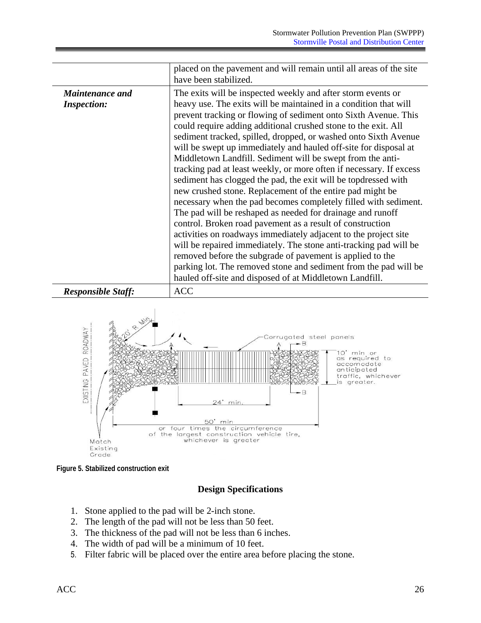|                                              | placed on the pavement and will remain until all areas of the site<br>have been stabilized.                                                                                                                                                                                                                                                                                                                                                                                                                                                                                                                                                                                                                                                                                                                                                                                                                                                                                                                                                                                                                                                                                                                        |
|----------------------------------------------|--------------------------------------------------------------------------------------------------------------------------------------------------------------------------------------------------------------------------------------------------------------------------------------------------------------------------------------------------------------------------------------------------------------------------------------------------------------------------------------------------------------------------------------------------------------------------------------------------------------------------------------------------------------------------------------------------------------------------------------------------------------------------------------------------------------------------------------------------------------------------------------------------------------------------------------------------------------------------------------------------------------------------------------------------------------------------------------------------------------------------------------------------------------------------------------------------------------------|
| <b>Maintenance and</b><br><b>Inspection:</b> | The exits will be inspected weekly and after storm events or<br>heavy use. The exits will be maintained in a condition that will<br>prevent tracking or flowing of sediment onto Sixth Avenue. This<br>could require adding additional crushed stone to the exit. All<br>sediment tracked, spilled, dropped, or washed onto Sixth Avenue<br>will be swept up immediately and hauled off-site for disposal at<br>Middletown Landfill. Sediment will be swept from the anti-<br>tracking pad at least weekly, or more often if necessary. If excess<br>sediment has clogged the pad, the exit will be topdressed with<br>new crushed stone. Replacement of the entire pad might be<br>necessary when the pad becomes completely filled with sediment.<br>The pad will be reshaped as needed for drainage and runoff<br>control. Broken road pavement as a result of construction<br>activities on roadways immediately adjacent to the project site<br>will be repaired immediately. The stone anti-tracking pad will be<br>removed before the subgrade of pavement is applied to the<br>parking lot. The removed stone and sediment from the pad will be<br>hauled off-site and disposed of at Middletown Landfill. |
| <b>Responsible Staff:</b>                    | <b>ACC</b>                                                                                                                                                                                                                                                                                                                                                                                                                                                                                                                                                                                                                                                                                                                                                                                                                                                                                                                                                                                                                                                                                                                                                                                                         |



**Figure 5. Stabilized construction exit** 

#### **Design Specifications**

- 1. Stone applied to the pad will be 2-inch stone.
- 2. The length of the pad will not be less than 50 feet.
- 3. The thickness of the pad will not be less than 6 inches.
- 4. The width of pad will be a minimum of 10 feet.
- 5. Filter fabric will be placed over the entire area before placing the stone.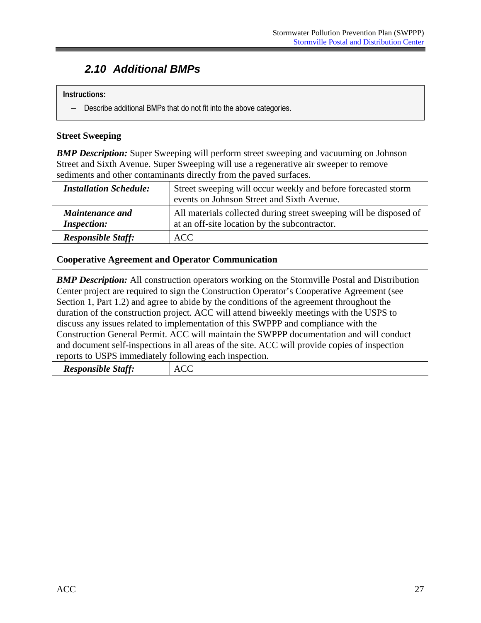### <span id="page-33-0"></span>*2.10 Additional BMPs*

#### **Instructions:**

― Describe additional BMPs that do not fit into the above categories.

#### **Street Sweeping**

*BMP Description:* Super Sweeping will perform street sweeping and vacuuming on Johnson Street and Sixth Avenue. Super Sweeping will use a regenerative air sweeper to remove sediments and other contaminants directly from the paved surfaces.

| <b>Installation Schedule:</b>                | Street sweeping will occur weekly and before forecasted storm<br>events on Johnson Street and Sixth Avenue.         |
|----------------------------------------------|---------------------------------------------------------------------------------------------------------------------|
| <b>Maintenance and</b><br><b>Inspection:</b> | All materials collected during street sweeping will be disposed of<br>at an off-site location by the subcontractor. |
| <b>Responsible Staff:</b>                    | <b>ACC</b>                                                                                                          |

#### **Cooperative Agreement and Operator Communication**

*BMP Description:* All construction operators working on the Stormville Postal and Distribution Center project are required to sign the Construction Operator's Cooperative Agreement (see Section 1, Part 1.2) and agree to abide by the conditions of the agreement throughout the duration of the construction project. ACC will attend biweekly meetings with the USPS to discuss any issues related to implementation of this SWPPP and compliance with the Construction General Permit. ACC will maintain the SWPPP documentation and will conduct and document self-inspections in all areas of the site. ACC will provide copies of inspection reports to USPS immediately following each inspection.

| statf <sup>2</sup><br><i><b>Responsible</b></i><br>w. | -<br>Δ.<br>---- |
|-------------------------------------------------------|-----------------|
|                                                       |                 |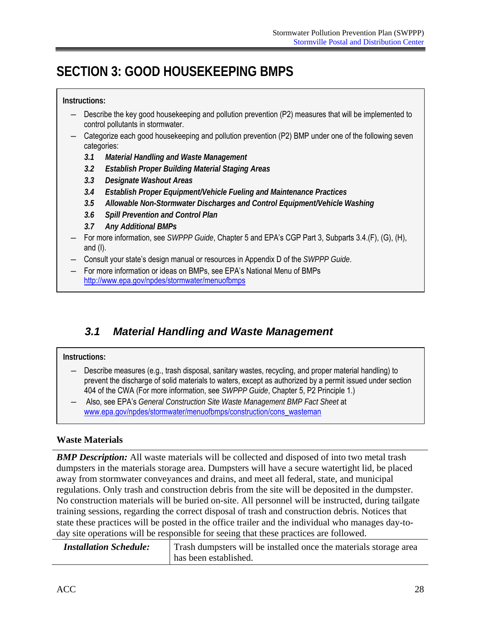# <span id="page-34-0"></span>**SECTION 3: GOOD HOUSEKEEPING BMPS**

#### **Instructions:**

- ― Describe the key good housekeeping and pollution prevention (P2) measures that will be implemented to control pollutants in stormwater.
- ― Categorize each good housekeeping and pollution prevention (P2) BMP under one of the following seven categories:
	- *3.1 Material Handling and Waste Management*
	- *3.2 Establish Proper Building Material Staging Areas*
	- *3.3 Designate Washout Areas*
	- *3.4 Establish Proper Equipment/Vehicle Fueling and Maintenance Practices*
	- *3.5 Allowable Non-Stormwater Discharges and Control Equipment/Vehicle Washing*
	- *3.6 Spill Prevention and Control Plan*
	- *3.7 Any Additional BMPs*
- For more information, see *SWPPP Guide*, Chapter 5 and EPA's CGP Part 3, Subparts 3.4.(F), (G), (H), and (I).
- ― Consult your state's design manual or resources in Appendix D of the *SWPPP Guide*.
- For more information or ideas on BMPs, see EPA's National Menu of BMPs http://www.epa.gov/npdes/stormwater/menuofbmps

### *3.1 Material Handling and Waste Management*

#### **Instructions:**

- ― Describe measures (e.g., trash disposal, sanitary wastes, recycling, and proper material handling) to prevent the discharge of solid materials to waters, except as authorized by a permit issued under section 404 of the CWA (For more information, see *SWPPP Guide*, Chapter 5, P2 Principle 1.)
- ― Also, see EPA's *General Construction Site Waste Management BMP Fact Sheet* at www.epa.gov/npdes/stormwater/menuofbmps/construction/cons\_wasteman

#### **Waste Materials**

**BMP Description:** All waste materials will be collected and disposed of into two metal trash dumpsters in the materials storage area. Dumpsters will have a secure watertight lid, be placed away from stormwater conveyances and drains, and meet all federal, state, and municipal regulations. Only trash and construction debris from the site will be deposited in the dumpster. No construction materials will be buried on-site. All personnel will be instructed, during tailgate training sessions, regarding the correct disposal of trash and construction debris. Notices that state these practices will be posted in the office trailer and the individual who manages day-today site operations will be responsible for seeing that these practices are followed.

| <b>Installation Schedule:</b> | Trash dumpsters will be installed once the materials storage area |
|-------------------------------|-------------------------------------------------------------------|
|                               | has been established.                                             |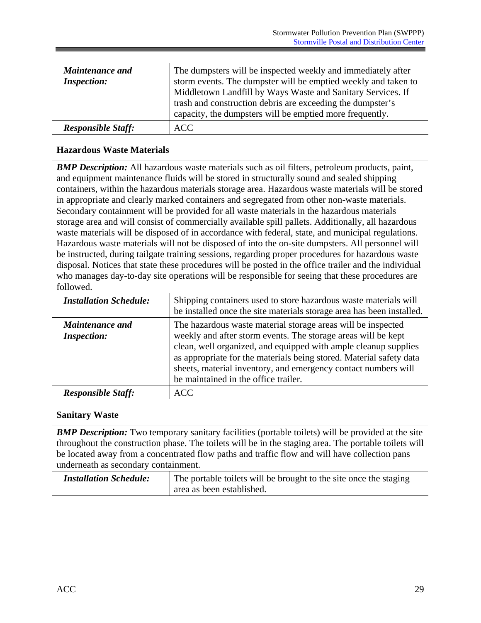| <b>Maintenance and</b><br><b>Inspection:</b> | The dumpsters will be inspected weekly and immediately after<br>storm events. The dumpster will be emptied weekly and taken to<br>Middletown Landfill by Ways Waste and Sanitary Services. If<br>trash and construction debris are exceeding the dumpster's<br>capacity, the dumpsters will be emptied more frequently. |
|----------------------------------------------|-------------------------------------------------------------------------------------------------------------------------------------------------------------------------------------------------------------------------------------------------------------------------------------------------------------------------|
| <b>Responsible Staff:</b>                    | ACC.                                                                                                                                                                                                                                                                                                                    |

#### **Hazardous Waste Materials**

*BMP Description:* All hazardous waste materials such as oil filters, petroleum products, paint, and equipment maintenance fluids will be stored in structurally sound and sealed shipping containers, within the hazardous materials storage area. Hazardous waste materials will be stored in appropriate and clearly marked containers and segregated from other non-waste materials. Secondary containment will be provided for all waste materials in the hazardous materials storage area and will consist of commercially available spill pallets. Additionally, all hazardous waste materials will be disposed of in accordance with federal, state, and municipal regulations. Hazardous waste materials will not be disposed of into the on-site dumpsters. All personnel will be instructed, during tailgate training sessions, regarding proper procedures for hazardous waste disposal. Notices that state these procedures will be posted in the office trailer and the individual who manages day-to-day site operations will be responsible for seeing that these procedures are followed.

| <b>Installation Schedule:</b>                | Shipping containers used to store hazardous waste materials will<br>be installed once the site materials storage area has been installed.                                                                                                                                                                                                                                         |
|----------------------------------------------|-----------------------------------------------------------------------------------------------------------------------------------------------------------------------------------------------------------------------------------------------------------------------------------------------------------------------------------------------------------------------------------|
| <b>Maintenance and</b><br><b>Inspection:</b> | The hazardous waste material storage areas will be inspected<br>weekly and after storm events. The storage areas will be kept<br>clean, well organized, and equipped with ample cleanup supplies<br>as appropriate for the materials being stored. Material safety data<br>sheets, material inventory, and emergency contact numbers will<br>be maintained in the office trailer. |
| <b>Responsible Staff:</b>                    | <b>ACC</b>                                                                                                                                                                                                                                                                                                                                                                        |

#### **Sanitary Waste**

**BMP Description:** Two temporary sanitary facilities (portable toilets) will be provided at the site throughout the construction phase. The toilets will be in the staging area. The portable toilets will be located away from a concentrated flow paths and traffic flow and will have collection pans underneath as secondary containment.

| <b>Installation Schedule:</b> | The portable toilets will be brought to the site once the staging<br>area as been established. |    |
|-------------------------------|------------------------------------------------------------------------------------------------|----|
|                               |                                                                                                |    |
|                               |                                                                                                |    |
|                               |                                                                                                |    |
|                               |                                                                                                |    |
| <b>ACC</b>                    |                                                                                                | 29 |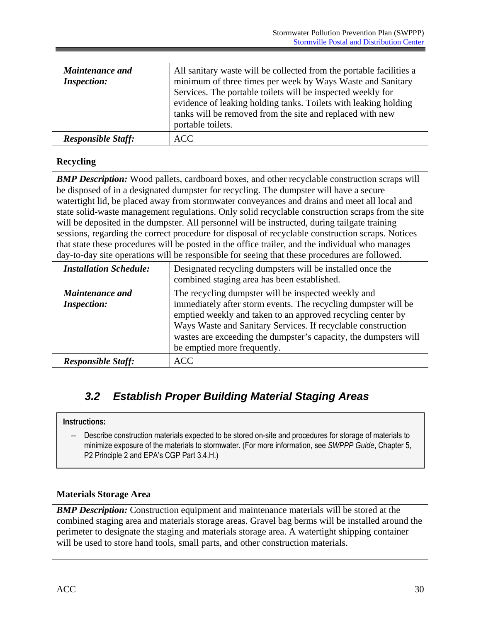<span id="page-36-0"></span>

| <b>Maintenance and</b><br><b>Inspection:</b> | All sanitary waste will be collected from the portable facilities a<br>minimum of three times per week by Ways Waste and Sanitary<br>Services. The portable toilets will be inspected weekly for<br>evidence of leaking holding tanks. Toilets with leaking holding |
|----------------------------------------------|---------------------------------------------------------------------------------------------------------------------------------------------------------------------------------------------------------------------------------------------------------------------|
|                                              | tanks will be removed from the site and replaced with new<br>portable toilets.                                                                                                                                                                                      |
| <b>Responsible Staff:</b>                    | <b>ACC</b>                                                                                                                                                                                                                                                          |

### **Recycling**

**BMP Description:** Wood pallets, cardboard boxes, and other recyclable construction scraps will be disposed of in a designated dumpster for recycling. The dumpster will have a secure watertight lid, be placed away from stormwater conveyances and drains and meet all local and state solid-waste management regulations. Only solid recyclable construction scraps from the site will be deposited in the dumpster. All personnel will be instructed, during tailgate training sessions, regarding the correct procedure for disposal of recyclable construction scraps. Notices that state these procedures will be posted in the office trailer, and the individual who manages day-to-day site operations will be responsible for seeing that these procedures are followed.

| <b>Installation Schedule:</b>                | Designated recycling dumpsters will be installed once the<br>combined staging area has been established.                                                                                                                                                                                                                                                |
|----------------------------------------------|---------------------------------------------------------------------------------------------------------------------------------------------------------------------------------------------------------------------------------------------------------------------------------------------------------------------------------------------------------|
| <i>Maintenance and</i><br><b>Inspection:</b> | The recycling dumpster will be inspected weekly and<br>immediately after storm events. The recycling dumpster will be<br>emptied weekly and taken to an approved recycling center by<br>Ways Waste and Sanitary Services. If recyclable construction<br>wastes are exceeding the dumpster's capacity, the dumpsters will<br>be emptied more frequently. |
| <b>Responsible Staff:</b>                    | <b>ACC</b>                                                                                                                                                                                                                                                                                                                                              |

### *3.2 Establish Proper Building Material Staging Areas*

#### **Instructions:**

― Describe construction materials expected to be stored on-site and procedures for storage of materials to minimize exposure of the materials to stormwater. (For more information, see *SWPPP Guide*, Chapter 5, P2 Principle 2 and EPA's CGP Part 3.4.H.)

#### **Materials Storage Area**

*BMP Description:* Construction equipment and maintenance materials will be stored at the combined staging area and materials storage areas. Gravel bag berms will be installed around the perimeter to designate the staging and materials storage area. A watertight shipping container will be used to store hand tools, small parts, and other construction materials.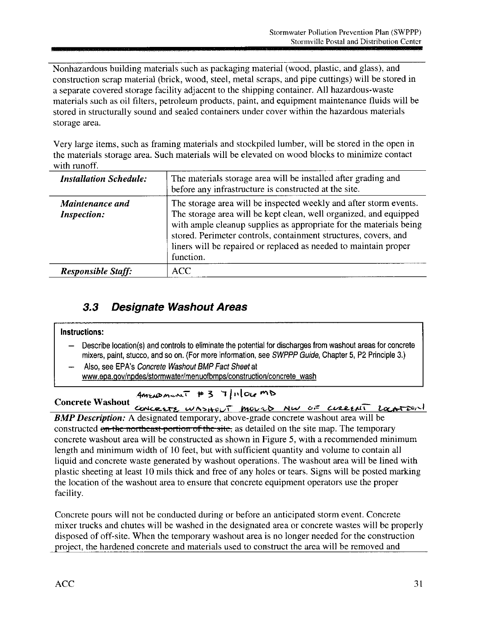Nonhazardous building materials such as packaging material (wood, plastic, and glass), and construction scrap material (brick, wood, steel, metal scraps, and pipe cuttings) will be stored in a separate covered storage facility adjacent to the shipping container. All hazardous-waste materials such as oil filters, petroleum products, paint, and equipment maintenance fluids will be stored in structurally sound and sealed containers under cover within the hazardous materials storage area.

Very large items, such as framing materials and stockpiled lumber, will be stored in the open in the materials storage area. Such materials will be elevated on wood blocks to minimize contact with runoff.

| <b>Installation Schedule:</b>         | The materials storage area will be installed after grading and<br>before any infrastructure is constructed at the site.                                                                                                                                                                                                                                          |
|---------------------------------------|------------------------------------------------------------------------------------------------------------------------------------------------------------------------------------------------------------------------------------------------------------------------------------------------------------------------------------------------------------------|
| Maintenance and<br><b>Inspection:</b> | The storage area will be inspected weekly and after storm events.<br>The storage area will be kept clean, well organized, and equipped<br>with ample cleanup supplies as appropriate for the materials being<br>stored. Perimeter controls, containment structures, covers, and<br>liners will be repaired or replaced as needed to maintain proper<br>function. |
| <b>Responsible Staff:</b>             | ACC                                                                                                                                                                                                                                                                                                                                                              |

#### $3.3$ **Designate Washout Areas**

#### Instructions:

- Describe location(s) and controls to eliminate the potential for discharges from washout areas for concrete mixers, paint, stucco, and so on. (For more information, see SWPPP Guide, Chapter 5, P2 Principle 3.)
- Also, see EPA's Concrete Washout BMP Fact Sheet at www.epa.gov/npdes/stormwater/menuofbmps/construction/concrete\_wash

AMENDMENT #3 7/11/OLEMD

**Concrete Washout** CONCRETE WASHOUT MOVED NW OF CURRENT LOCATION **BMP Description:** A designated temporary, above-grade concrete washout area will be constructed on the northeast portion of the site, as detailed on the site map. The temporary concrete washout area will be constructed as shown in Figure 5, with a recommended minimum length and minimum width of 10 feet, but with sufficient quantity and volume to contain all liquid and concrete waste generated by washout operations. The washout area will be lined with plastic sheeting at least 10 mils thick and free of any holes or tears. Signs will be posted marking the location of the washout area to ensure that concrete equipment operators use the proper facility.

Concrete pours will not be conducted during or before an anticipated storm event. Concrete mixer trucks and chutes will be washed in the designated area or concrete wastes will be properly disposed of off-site. When the temporary washout area is no longer needed for the construction project, the hardened concrete and materials used to construct the area will be removed and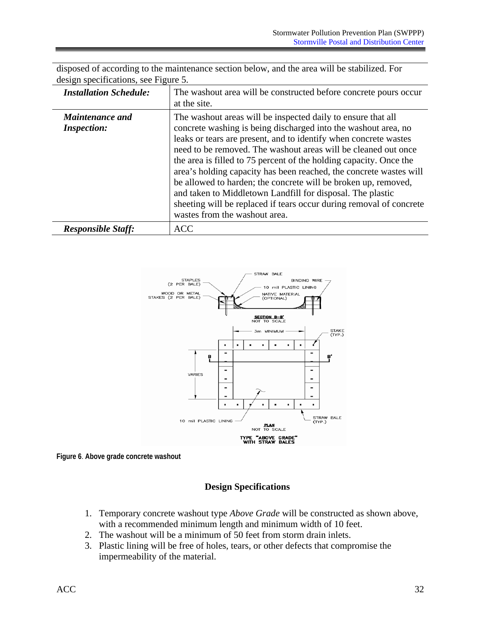| <b>Installation Schedule:</b>                | The washout area will be constructed before concrete pours occur<br>at the site.                                                                                                                                                                                                                                                                                                                                                                                                                                                                                                                                                                         |
|----------------------------------------------|----------------------------------------------------------------------------------------------------------------------------------------------------------------------------------------------------------------------------------------------------------------------------------------------------------------------------------------------------------------------------------------------------------------------------------------------------------------------------------------------------------------------------------------------------------------------------------------------------------------------------------------------------------|
| <b>Maintenance and</b><br><b>Inspection:</b> | The washout areas will be inspected daily to ensure that all<br>concrete washing is being discharged into the washout area, no<br>leaks or tears are present, and to identify when concrete wastes<br>need to be removed. The washout areas will be cleaned out once<br>the area is filled to 75 percent of the holding capacity. Once the<br>area's holding capacity has been reached, the concrete wastes will<br>be allowed to harden; the concrete will be broken up, removed,<br>and taken to Middletown Landfill for disposal. The plastic<br>sheeting will be replaced if tears occur during removal of concrete<br>wastes from the washout area. |
| <b>Responsible Staff:</b>                    | <b>ACC</b>                                                                                                                                                                                                                                                                                                                                                                                                                                                                                                                                                                                                                                               |

disposed of according to the maintenance section below, and the area will be stabilized. For design specifications, see Figure 5.



**Figure 6**. **Above grade concrete washout** 

### **Design Specifications**

- 1. Temporary concrete washout type *Above Grade* will be constructed as shown above, with a recommended minimum length and minimum width of 10 feet.
- 2. The washout will be a minimum of 50 feet from storm drain inlets.
- 3. Plastic lining will be free of holes, tears, or other defects that compromise the impermeability of the material.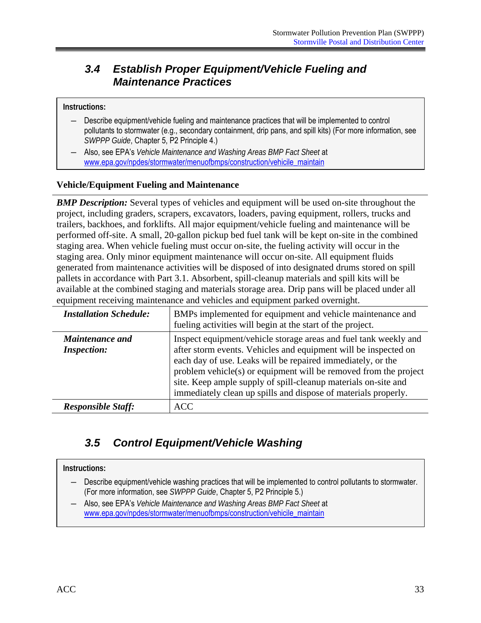### <span id="page-39-0"></span>*3.4 Establish Proper Equipment/Vehicle Fueling and Maintenance Practices*

#### **Instructions:**

- Describe equipment/vehicle fueling and maintenance practices that will be implemented to control pollutants to stormwater (e.g., secondary containment, drip pans, and spill kits) (For more information, see *SWPPP Guide*, Chapter 5, P2 Principle 4.)
- ― Also, see EPA's *Vehicle Maintenance and Washing Areas BMP Fact Sheet* at www.epa.gov/npdes/stormwater/menuofbmps/construction/vehicile\_maintain

#### **Vehicle/Equipment Fueling and Maintenance**

*BMP Description:* Several types of vehicles and equipment will be used on-site throughout the project, including graders, scrapers, excavators, loaders, paving equipment, rollers, trucks and trailers, backhoes, and forklifts. All major equipment/vehicle fueling and maintenance will be performed off-site. A small, 20-gallon pickup bed fuel tank will be kept on-site in the combined staging area. When vehicle fueling must occur on-site, the fueling activity will occur in the staging area. Only minor equipment maintenance will occur on-site. All equipment fluids generated from maintenance activities will be disposed of into designated drums stored on spill pallets in accordance with Part 3.1. Absorbent, spill-cleanup materials and spill kits will be available at the combined staging and materials storage area. Drip pans will be placed under all equipment receiving maintenance and vehicles and equipment parked overnight.

| <b>Installation Schedule:</b>                | BMPs implemented for equipment and vehicle maintenance and<br>fueling activities will begin at the start of the project.                                                                                                                                                                                                                                                                                   |
|----------------------------------------------|------------------------------------------------------------------------------------------------------------------------------------------------------------------------------------------------------------------------------------------------------------------------------------------------------------------------------------------------------------------------------------------------------------|
| <b>Maintenance and</b><br><b>Inspection:</b> | Inspect equipment/vehicle storage areas and fuel tank weekly and<br>after storm events. Vehicles and equipment will be inspected on<br>each day of use. Leaks will be repaired immediately, or the<br>problem vehicle(s) or equipment will be removed from the project<br>site. Keep ample supply of spill-cleanup materials on-site and<br>immediately clean up spills and dispose of materials properly. |
| <b>Responsible Staff:</b>                    | <b>ACC</b>                                                                                                                                                                                                                                                                                                                                                                                                 |

### *3.5 Control Equipment/Vehicle Washing*

#### **Instructions:**

- ― Describe equipment/vehicle washing practices that will be implemented to control pollutants to stormwater. (For more information, see *SWPPP Guide*, Chapter 5, P2 Principle 5.)
- Also, see EPA's *Vehicle Maintenance and Washing Areas BMP Fact Sheet* at www.epa.gov/npdes/stormwater/menuofbmps/construction/vehicile\_maintain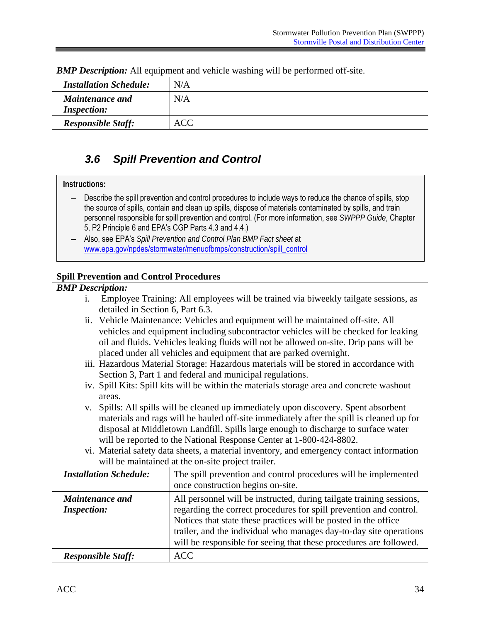<span id="page-40-0"></span>

| <b>BMP Description:</b> All equipment and vehicle washing will be performed off-site. |     |
|---------------------------------------------------------------------------------------|-----|
| <b>Installation Schedule:</b>                                                         | N/A |
| <b>Maintenance and</b><br><i>Inspection:</i>                                          | N/A |
| <b>Responsible Staff:</b>                                                             | ACC |

*BMP Description:* All equipment and vehicle washing will be performed off-site.

### *3.6 Spill Prevention and Control*

#### **Instructions:**

- ― Describe the spill prevention and control procedures to include ways to reduce the chance of spills, stop the source of spills, contain and clean up spills, dispose of materials contaminated by spills, and train personnel responsible for spill prevention and control. (For more information, see *SWPPP Guide*, Chapter 5, P2 Principle 6 and EPA's CGP Parts 4.3 and 4.4.)
- ― Also, see EPA's *Spill Prevention and Control Plan BMP Fact sheet* at www.epa.gov/npdes/stormwater/menuofbmps/construction/spill\_control

#### **Spill Prevention and Control Procedures**

#### *BMP Description:*

- i. Employee Training: All employees will be trained via biweekly tailgate sessions, as detailed in Section 6, Part 6.3.
- ii. Vehicle Maintenance: Vehicles and equipment will be maintained off-site. All vehicles and equipment including subcontractor vehicles will be checked for leaking oil and fluids. Vehicles leaking fluids will not be allowed on-site. Drip pans will be placed under all vehicles and equipment that are parked overnight.
- iii. Hazardous Material Storage: Hazardous materials will be stored in accordance with Section 3, Part 1 and federal and municipal regulations.
- iv. Spill Kits: Spill kits will be within the materials storage area and concrete washout areas.
- v. Spills: All spills will be cleaned up immediately upon discovery. Spent absorbent materials and rags will be hauled off-site immediately after the spill is cleaned up for disposal at Middletown Landfill. Spills large enough to discharge to surface water will be reported to the National Response Center at 1-800-424-8802.
- vi. Material safety data sheets, a material inventory, and emergency contact information will be maintained at the on-site project trailer.

| <b>Installation Schedule:</b>                | The spill prevention and control procedures will be implemented<br>once construction begins on-site.                                                                                                                                                                                                                                                      |
|----------------------------------------------|-----------------------------------------------------------------------------------------------------------------------------------------------------------------------------------------------------------------------------------------------------------------------------------------------------------------------------------------------------------|
| <b>Maintenance and</b><br><b>Inspection:</b> | All personnel will be instructed, during tailgate training sessions,<br>regarding the correct procedures for spill prevention and control.<br>Notices that state these practices will be posted in the office<br>trailer, and the individual who manages day-to-day site operations<br>will be responsible for seeing that these procedures are followed. |
| <b>Responsible Staff:</b>                    | <b>ACC</b>                                                                                                                                                                                                                                                                                                                                                |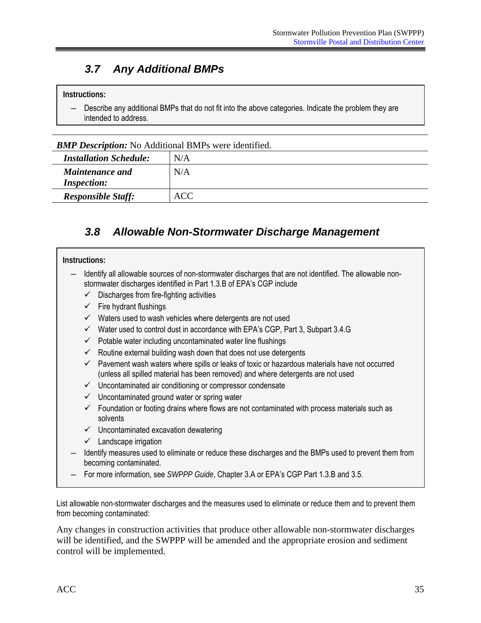### <span id="page-41-0"></span>*3.7 Any Additional BMPs*

#### **Instructions:**

Describe any additional BMPs that do not fit into the above categories. Indicate the problem they are intended to address.

*BMP Description:* No Additional BMPs were identified.

| <b>Installation Schedule:</b>                | N/A |
|----------------------------------------------|-----|
| <b>Maintenance and</b><br><b>Inspection:</b> | N/A |
| <b>Responsible Staff:</b>                    | ACC |

### *3.8 Allowable Non-Stormwater Discharge Management*

#### **Instructions:**

- ― Identify all allowable sources of non-stormwater discharges that are not identified. The allowable nonstormwater discharges identified in Part 1.3.B of EPA's CGP include
	- $\checkmark$  Discharges from fire-fighting activities
	- $\checkmark$  Fire hydrant flushings
	- $\checkmark$  Waters used to wash vehicles where detergents are not used
	- $\checkmark$  Water used to control dust in accordance with EPA's CGP, Part 3, Subpart 3.4.G
	- $\checkmark$  Potable water including uncontaminated water line flushings
	- $\checkmark$  Routine external building wash down that does not use detergents
	- $\checkmark$  Pavement wash waters where spills or leaks of toxic or hazardous materials have not occurred (unless all spilled material has been removed) and where detergents are not used
	- $\checkmark$  Uncontaminated air conditioning or compressor condensate
	- $\checkmark$  Uncontaminated ground water or spring water
	- $\checkmark$  Foundation or footing drains where flows are not contaminated with process materials such as solvents
	- $\checkmark$  Uncontaminated excavation dewatering
	- $\checkmark$  Landscape irrigation
- ― Identify measures used to eliminate or reduce these discharges and the BMPs used to prevent them from becoming contaminated.
- For more information, see *SWPPP Guide*, Chapter 3.A or EPA's CGP Part 1.3.B and 3.5.

List allowable non-stormwater discharges and the measures used to eliminate or reduce them and to prevent them from becoming contaminated:

Any changes in construction activities that produce other allowable non-stormwater discharges will be identified, and the SWPPP will be amended and the appropriate erosion and sediment control will be implemented.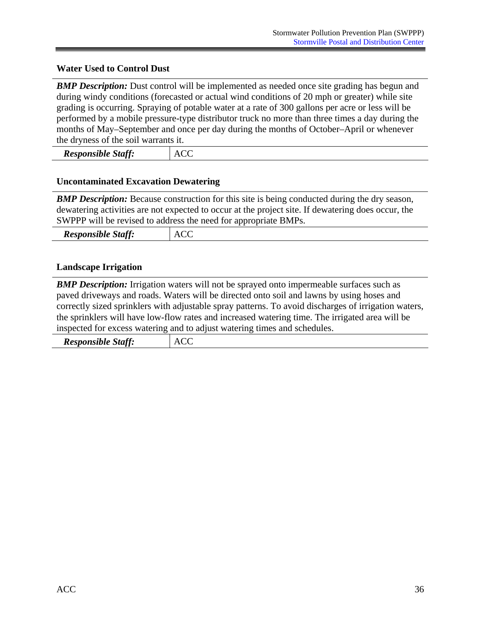#### **Water Used to Control Dust**

**BMP Description:** Dust control will be implemented as needed once site grading has begun and during windy conditions (forecasted or actual wind conditions of 20 mph or greater) while site grading is occurring. Spraying of potable water at a rate of 300 gallons per acre or less will be performed by a mobile pressure-type distributor truck no more than three times a day during the months of May–September and once per day during the months of October–April or whenever the dryness of the soil warrants it.

| <b>Responsible Staff:</b> | <b>ACC</b> |
|---------------------------|------------|
|---------------------------|------------|

#### **Uncontaminated Excavation Dewatering**

**BMP Description:** Because construction for this site is being conducted during the dry season, dewatering activities are not expected to occur at the project site. If dewatering does occur, the SWPPP will be revised to address the need for appropriate BMPs.

| r r<br>n.<br><i><b>Responsible</b></i><br>$\mathcal{A}$ taff<br>IJ | –<br>–<br>Δ.<br>w<br>___ |
|--------------------------------------------------------------------|--------------------------|
|--------------------------------------------------------------------|--------------------------|

#### **Landscape Irrigation**

*BMP Description:* Irrigation waters will not be sprayed onto impermeable surfaces such as paved driveways and roads. Waters will be directed onto soil and lawns by using hoses and correctly sized sprinklers with adjustable spray patterns. To avoid discharges of irrigation waters, the sprinklers will have low-flow rates and increased watering time. The irrigated area will be inspected for excess watering and to adjust watering times and schedules.

| r r<br><i><b>Responsible Staff:</b></i><br>v | –<br>–<br>n |
|----------------------------------------------|-------------|
|                                              |             |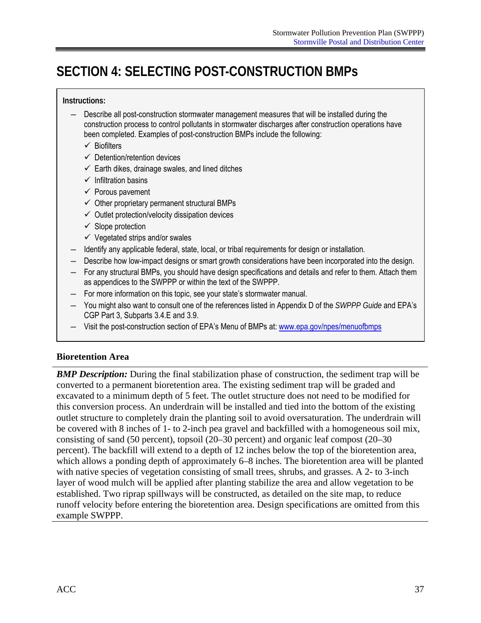# <span id="page-43-0"></span>**SECTION 4: SELECTING POST-CONSTRUCTION BMPs**

#### **Instructions:**

- ― Describe all post-construction stormwater management measures that will be installed during the construction process to control pollutants in stormwater discharges after construction operations have been completed. Examples of post-construction BMPs include the following:
	- $\checkmark$  Biofilters
	- $\checkmark$  Detention/retention devices
	- $\checkmark$  Earth dikes, drainage swales, and lined ditches
	- $\checkmark$  Infiltration basins
	- $\checkmark$  Porous pavement
	- $\checkmark$  Other proprietary permanent structural BMPs
	- $\checkmark$  Outlet protection/velocity dissipation devices
	- $\checkmark$  Slope protection
	- $\checkmark$  Vegetated strips and/or swales
- Identify any applicable federal, state, local, or tribal requirements for design or installation.
- ― Describe how low-impact designs or smart growth considerations have been incorporated into the design.
- For any structural BMPs, you should have design specifications and details and refer to them. Attach them as appendices to the SWPPP or within the text of the SWPPP.
- For more information on this topic, see your state's stormwater manual.
- You might also want to consult one of the references listed in Appendix D of the *SWPPP Guide* and EPA's CGP Part 3, Subparts 3.4.E and 3.9.
- Visit the post-construction section of EPA's Menu of BMPs at: www.epa.gov/npes/menuofbmps

#### **Bioretention Area**

*BMP Description:* During the final stabilization phase of construction, the sediment trap will be converted to a permanent bioretention area. The existing sediment trap will be graded and excavated to a minimum depth of 5 feet. The outlet structure does not need to be modified for this conversion process. An underdrain will be installed and tied into the bottom of the existing outlet structure to completely drain the planting soil to avoid oversaturation. The underdrain will be covered with 8 inches of 1- to 2-inch pea gravel and backfilled with a homogeneous soil mix, consisting of sand (50 percent), topsoil (20–30 percent) and organic leaf compost (20–30 percent). The backfill will extend to a depth of 12 inches below the top of the bioretention area, which allows a ponding depth of approximately 6–8 inches. The bioretention area will be planted with native species of vegetation consisting of small trees, shrubs, and grasses. A 2- to 3-inch layer of wood mulch will be applied after planting stabilize the area and allow vegetation to be established. Two riprap spillways will be constructed, as detailed on the site map, to reduce runoff velocity before entering the bioretention area. Design specifications are omitted from this example SWPPP.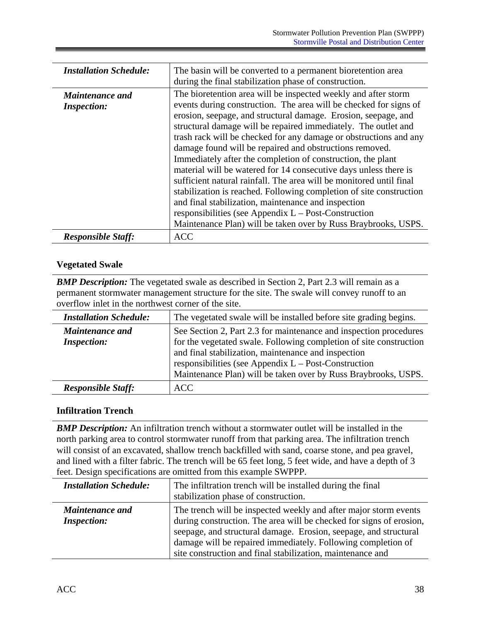| <b>Installation Schedule:</b>                | The basin will be converted to a permanent bioretention area<br>during the final stabilization phase of construction.                                                                                                                                                                                                                                                                                                                                                                                                                                                                                                                                                                                                                                                                                                                                                       |
|----------------------------------------------|-----------------------------------------------------------------------------------------------------------------------------------------------------------------------------------------------------------------------------------------------------------------------------------------------------------------------------------------------------------------------------------------------------------------------------------------------------------------------------------------------------------------------------------------------------------------------------------------------------------------------------------------------------------------------------------------------------------------------------------------------------------------------------------------------------------------------------------------------------------------------------|
| <b>Maintenance and</b><br><b>Inspection:</b> | The bioretention area will be inspected weekly and after storm<br>events during construction. The area will be checked for signs of<br>erosion, seepage, and structural damage. Erosion, seepage, and<br>structural damage will be repaired immediately. The outlet and<br>trash rack will be checked for any damage or obstructions and any<br>damage found will be repaired and obstructions removed.<br>Immediately after the completion of construction, the plant<br>material will be watered for 14 consecutive days unless there is<br>sufficient natural rainfall. The area will be monitored until final<br>stabilization is reached. Following completion of site construction<br>and final stabilization, maintenance and inspection<br>responsibilities (see Appendix $L - Post-Construction$<br>Maintenance Plan) will be taken over by Russ Braybrooks, USPS. |
| <b>Responsible Staff:</b>                    | <b>ACC</b>                                                                                                                                                                                                                                                                                                                                                                                                                                                                                                                                                                                                                                                                                                                                                                                                                                                                  |

#### **Vegetated Swale**

**BMP Description:** The vegetated swale as described in Section 2, Part 2.3 will remain as a permanent stormwater management structure for the site. The swale will convey runoff to an overflow inlet in the northwest corner of the site.

| <b>Installation Schedule:</b>                | The vegetated swale will be installed before site grading begins.                                                                                                                                                                                                                                                          |
|----------------------------------------------|----------------------------------------------------------------------------------------------------------------------------------------------------------------------------------------------------------------------------------------------------------------------------------------------------------------------------|
| <b>Maintenance and</b><br><b>Inspection:</b> | See Section 2, Part 2.3 for maintenance and inspection procedures<br>for the vegetated swale. Following completion of site construction<br>and final stabilization, maintenance and inspection<br>responsibilities (see Appendix $L - Post-Construction$<br>Maintenance Plan) will be taken over by Russ Braybrooks, USPS. |
| <b>Responsible Staff:</b>                    | <b>ACC</b>                                                                                                                                                                                                                                                                                                                 |

#### **Infiltration Trench**

*BMP Description:* An infiltration trench without a stormwater outlet will be installed in the north parking area to control stormwater runoff from that parking area. The infiltration trench will consist of an excavated, shallow trench backfilled with sand, coarse stone, and pea gravel, and lined with a filter fabric. The trench will be 65 feet long, 5 feet wide, and have a depth of 3 feet. Design specifications are omitted from this example SWPPP.

| <b>Installation Schedule:</b>                | The infiltration trench will be installed during the final<br>stabilization phase of construction.                                                                                                                                                                                                                                        |
|----------------------------------------------|-------------------------------------------------------------------------------------------------------------------------------------------------------------------------------------------------------------------------------------------------------------------------------------------------------------------------------------------|
| <b>Maintenance and</b><br><b>Inspection:</b> | The trench will be inspected weekly and after major storm events<br>during construction. The area will be checked for signs of erosion,<br>seepage, and structural damage. Erosion, seepage, and structural<br>damage will be repaired immediately. Following completion of<br>site construction and final stabilization, maintenance and |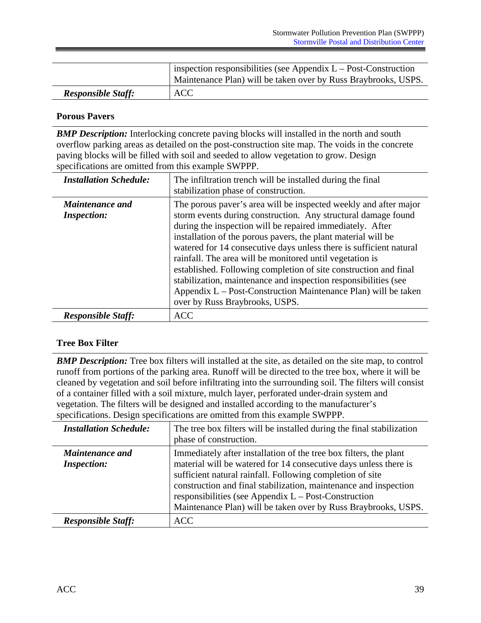|                           | inspection responsibilities (see Appendix $L - Post-Construction$<br>Maintenance Plan) will be taken over by Russ Braybrooks, USPS. |
|---------------------------|-------------------------------------------------------------------------------------------------------------------------------------|
| <b>Responsible Staff:</b> | <b>ACC</b>                                                                                                                          |

#### **Porous Pavers**

**BMP Description:** Interlocking concrete paving blocks will installed in the north and south overflow parking areas as detailed on the post-construction site map. The voids in the concrete paving blocks will be filled with soil and seeded to allow vegetation to grow. Design specifications are omitted from this example SWPPP.

| <b>Installation Schedule:</b>                | The infiltration trench will be installed during the final<br>stabilization phase of construction.                                                                                                                                                                                                                                                                                                                                                                                                                                                                                                                                           |
|----------------------------------------------|----------------------------------------------------------------------------------------------------------------------------------------------------------------------------------------------------------------------------------------------------------------------------------------------------------------------------------------------------------------------------------------------------------------------------------------------------------------------------------------------------------------------------------------------------------------------------------------------------------------------------------------------|
| <b>Maintenance and</b><br><b>Inspection:</b> | The porous paver's area will be inspected weekly and after major<br>storm events during construction. Any structural damage found<br>during the inspection will be repaired immediately. After<br>installation of the porous pavers, the plant material will be<br>watered for 14 consecutive days unless there is sufficient natural<br>rainfall. The area will be monitored until vegetation is<br>established. Following completion of site construction and final<br>stabilization, maintenance and inspection responsibilities (see<br>Appendix L – Post-Construction Maintenance Plan) will be taken<br>over by Russ Braybrooks, USPS. |
| <b>Responsible Staff:</b>                    | <b>ACC</b>                                                                                                                                                                                                                                                                                                                                                                                                                                                                                                                                                                                                                                   |

#### **Tree Box Filter**

*BMP Description:* Tree box filters will installed at the site, as detailed on the site map, to control runoff from portions of the parking area. Runoff will be directed to the tree box, where it will be cleaned by vegetation and soil before infiltrating into the surrounding soil. The filters will consist of a container filled with a soil mixture, mulch layer, perforated under-drain system and vegetation. The filters will be designed and installed according to the manufacturer's specifications. Design specifications are omitted from this example SWPPP.

| <b>Installation Schedule:</b>         | The tree box filters will be installed during the final stabilization<br>phase of construction.                                                                                                                                                                                                                                                                                                    |
|---------------------------------------|----------------------------------------------------------------------------------------------------------------------------------------------------------------------------------------------------------------------------------------------------------------------------------------------------------------------------------------------------------------------------------------------------|
| Maintenance and<br><b>Inspection:</b> | Immediately after installation of the tree box filters, the plant<br>material will be watered for 14 consecutive days unless there is<br>sufficient natural rainfall. Following completion of site<br>construction and final stabilization, maintenance and inspection<br>responsibilities (see Appendix $L - Post-Construction$<br>Maintenance Plan) will be taken over by Russ Braybrooks, USPS. |
| <b>Responsible Staff:</b>             | <b>ACC</b>                                                                                                                                                                                                                                                                                                                                                                                         |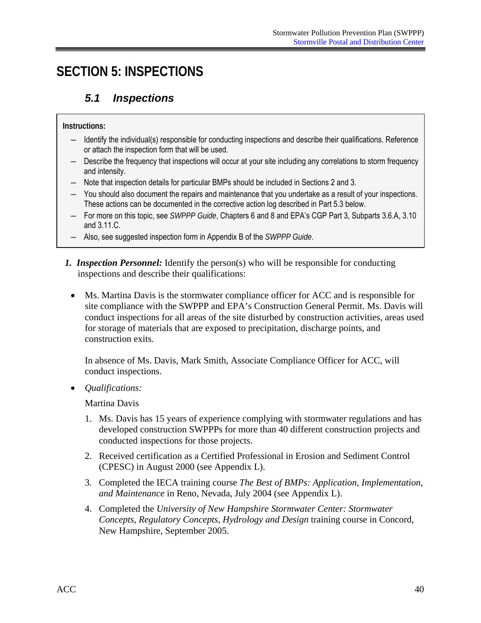# <span id="page-46-0"></span>**SECTION 5: INSPECTIONS**

### *5.1 Inspections*

**Instructions:** 

- ― Identify the individual(s) responsible for conducting inspections and describe their qualifications. Reference or attach the inspection form that will be used.
- ― Describe the frequency that inspections will occur at your site including any correlations to storm frequency and intensity.
- ― Note that inspection details for particular BMPs should be included in Sections 2 and 3.
- These actions can be documented in the corrective action log described in Part 5.3 below. ― You should also document the repairs and maintenance that you undertake as a result of your inspections.
- ― For more on this topic, see *SWPPP Guide*, Chapters 6 and 8 and EPA's CGP Part 3, Subparts 3.6.A, 3.10 and 3.11.C.
- ― Also, see suggested inspection form in Appendix B of the *SWPPP Guide*.
- *1. Inspection Personnel:* Identify the person(s) who will be responsible for conducting inspections and describe their qualifications:
	- Ms. Martina Davis is the stormwater compliance officer for ACC and is responsible for site compliance with the SWPPP and EPA's Construction General Permit. Ms. Davis will conduct inspections for all areas of the site disturbed by construction activities, areas used for storage of materials that are exposed to precipitation, discharge points, and construction exits.

In absence of Ms. Davis, Mark Smith, Associate Compliance Officer for ACC, will conduct inspections.

• *Qualifications:* 

Martina Davis

- 1. Ms. Davis has 15 years of experience complying with stormwater regulations and has developed construction SWPPPs for more than 40 different construction projects and conducted inspections for those projects.
- 2. Received certification as a Certified Professional in Erosion and Sediment Control (CPESC) in August 2000 (see Appendix L).
- 3. Completed the IECA training course *The Best of BMPs: Application, Implementation, and Maintenance* in Reno, Nevada, July 2004 (see Appendix L).
- 4. Completed the *University of New Hampshire Stormwater Center: Stormwater Concepts, Regulatory Concepts, Hydrology and Design* training course in Concord, New Hampshire, September 2005.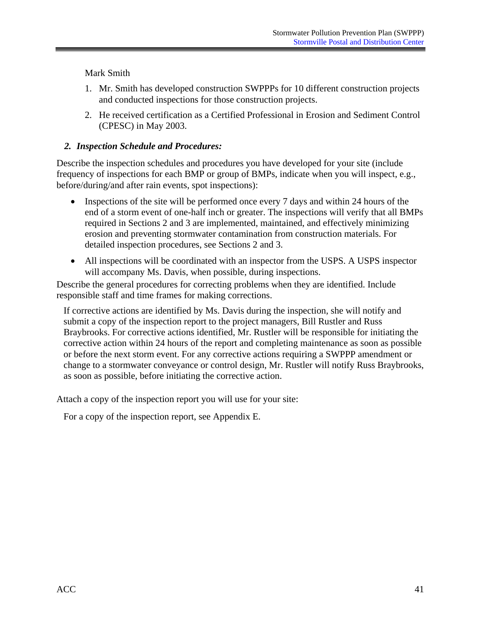Mark Smith

- 1. Mr. Smith has developed construction SWPPPs for 10 different construction projects and conducted inspections for those construction projects.
- 2. He received certification as a Certified Professional in Erosion and Sediment Control (CPESC) in May 2003.

### *2. Inspection Schedule and Procedures:*

Describe the inspection schedules and procedures you have developed for your site (include frequency of inspections for each BMP or group of BMPs, indicate when you will inspect, e.g., before/during/and after rain events, spot inspections):

- Inspections of the site will be performed once every 7 days and within 24 hours of the end of a storm event of one-half inch or greater. The inspections will verify that all BMPs required in Sections 2 and 3 are implemented, maintained, and effectively minimizing erosion and preventing stormwater contamination from construction materials. For detailed inspection procedures, see Sections 2 and 3.
- All inspections will be coordinated with an inspector from the USPS. A USPS inspector will accompany Ms. Davis, when possible, during inspections.

Describe the general procedures for correcting problems when they are identified. Include responsible staff and time frames for making corrections.

If corrective actions are identified by Ms. Davis during the inspection, she will notify and submit a copy of the inspection report to the project managers, Bill Rustler and Russ Braybrooks. For corrective actions identified, Mr. Rustler will be responsible for initiating the corrective action within 24 hours of the report and completing maintenance as soon as possible or before the next storm event. For any corrective actions requiring a SWPPP amendment or change to a stormwater conveyance or control design, Mr. Rustler will notify Russ Braybrooks, as soon as possible, before initiating the corrective action.

Attach a copy of the inspection report you will use for your site:

For a copy of the inspection report, see Appendix E.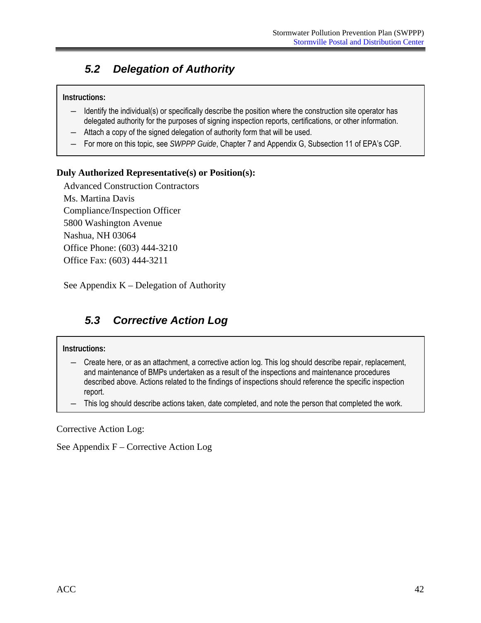### <span id="page-48-0"></span>*5.2 Delegation of Authority*

#### **Instructions:**

- ― Identify the individual(s) or specifically describe the position where the construction site operator has delegated authority for the purposes of signing inspection reports, certifications, or other information.
- ― Attach a copy of the signed delegation of authority form that will be used.
- ― For more on this topic, see *SWPPP Guide*, Chapter 7 and Appendix G, Subsection 11 of EPA's CGP.

#### **Duly Authorized Representative(s) or Position(s):**

Advanced Construction Contractors Ms. Martina Davis Compliance/Inspection Officer 5800 Washington Avenue Nashua, NH 03064 Office Phone: (603) 444-3210 Office Fax: (603) 444-3211

See Appendix  $K$  – Delegation of Authority

## *5.3 Corrective Action Log*

#### **Instructions:**

- ― Create here, or as an attachment, a corrective action log. This log should describe repair, replacement, and maintenance of BMPs undertaken as a result of the inspections and maintenance procedures described above. Actions related to the findings of inspections should reference the specific inspection report.
- ― This log should describe actions taken, date completed, and note the person that completed the work.

Corrective Action Log:

See Appendix F – Corrective Action Log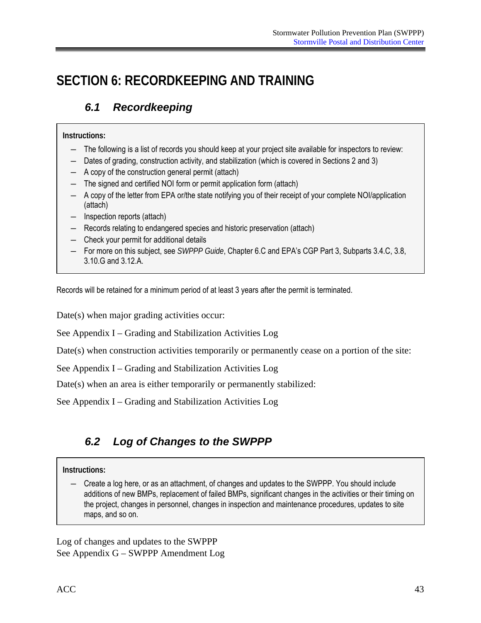# <span id="page-49-0"></span>**SECTION 6: RECORDKEEPING AND TRAINING**

## *6.1 Recordkeeping*

#### **Instructions:**

- ― The following is a list of records you should keep at your project site available for inspectors to review:
- Dates of grading, construction activity, and stabilization (which is covered in Sections 2 and 3)
- ― A copy of the construction general permit (attach)
- ― The signed and certified NOI form or permit application form (attach)
- ― A copy of the letter from EPA or/the state notifying you of their receipt of your complete NOI/application (attach)
- ― Inspection reports (attach)
- ― Records relating to endangered species and historic preservation (attach)
- ― Check your permit for additional details
- ― For more on this subject, see *SWPPP Guide*, Chapter 6.C and EPA's CGP Part 3, Subparts 3.4.C, 3.8, 3.10.G and 3.12.A.

Records will be retained for a minimum period of at least 3 years after the permit is terminated.

Date(s) when major grading activities occur:

See Appendix I – Grading and Stabilization Activities Log

Date(s) when construction activities temporarily or permanently cease on a portion of the site:

See Appendix I – Grading and Stabilization Activities Log

Date(s) when an area is either temporarily or permanently stabilized:

See Appendix I – Grading and Stabilization Activities Log

### *6.2 Log of Changes to the SWPPP*

#### **Instructions:**

― Create a log here, or as an attachment, of changes and updates to the SWPPP. You should include additions of new BMPs, replacement of failed BMPs, significant changes in the activities or their timing on the project, changes in personnel, changes in inspection and maintenance procedures, updates to site maps, and so on.

Log of changes and updates to the SWPPP See Appendix G – SWPPP Amendment Log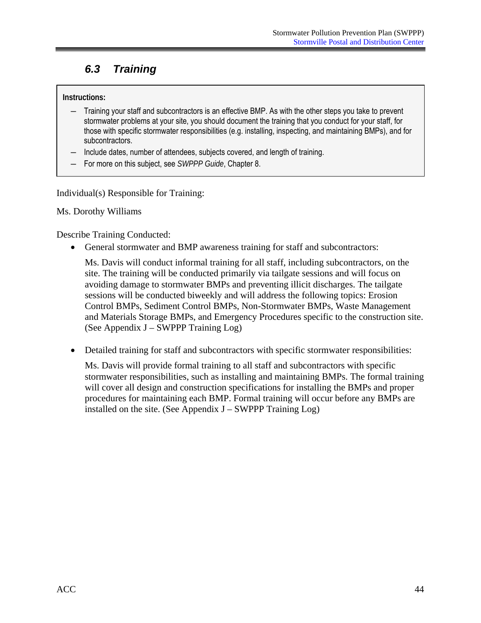### <span id="page-50-0"></span>*6.3 Training*

#### **Instructions:**

- ― Training your staff and subcontractors is an effective BMP. As with the other steps you take to prevent stormwater problems at your site, you should document the training that you conduct for your staff, for those with specific stormwater responsibilities (e.g. installing, inspecting, and maintaining BMPs), and for subcontractors.
- Include dates, number of attendees, subjects covered, and length of training.
- For more on this subject, see *SWPPP Guide*, Chapter 8.

Individual(s) Responsible for Training:

Ms. Dorothy Williams

Describe Training Conducted:

• General stormwater and BMP awareness training for staff and subcontractors:

Ms. Davis will conduct informal training for all staff, including subcontractors, on the site. The training will be conducted primarily via tailgate sessions and will focus on avoiding damage to stormwater BMPs and preventing illicit discharges. The tailgate sessions will be conducted biweekly and will address the following topics: Erosion Control BMPs, Sediment Control BMPs, Non-Stormwater BMPs, Waste Management and Materials Storage BMPs, and Emergency Procedures specific to the construction site. (See Appendix J – SWPPP Training Log)

• Detailed training for staff and subcontractors with specific stormwater responsibilities:

Ms. Davis will provide formal training to all staff and subcontractors with specific stormwater responsibilities, such as installing and maintaining BMPs. The formal training will cover all design and construction specifications for installing the BMPs and proper procedures for maintaining each BMP. Formal training will occur before any BMPs are installed on the site. (See Appendix  $J - SWPPP$  Training  $Log$ )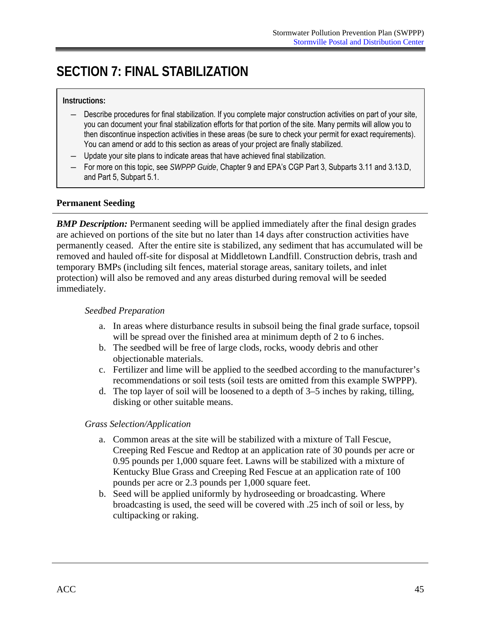# <span id="page-51-0"></span>**SECTION 7: FINAL STABILIZATION**

#### **Instructions:**

- ― Describe procedures for final stabilization. If you complete major construction activities on part of your site, you can document your final stabilization efforts for that portion of the site. Many permits will allow you to then discontinue inspection activities in these areas (be sure to check your permit for exact requirements). You can amend or add to this section as areas of your project are finally stabilized.
- Update your site plans to indicate areas that have achieved final stabilization.
- ― For more on this topic, see *SWPPP Guide*, Chapter 9 and EPA's CGP Part 3, Subparts 3.11 and 3.13.D, and Part 5, Subpart 5.1.

#### **Permanent Seeding**

**BMP Description:** Permanent seeding will be applied immediately after the final design grades are achieved on portions of the site but no later than 14 days after construction activities have permanently ceased. After the entire site is stabilized, any sediment that has accumulated will be removed and hauled off-site for disposal at Middletown Landfill. Construction debris, trash and temporary BMPs (including silt fences, material storage areas, sanitary toilets, and inlet protection) will also be removed and any areas disturbed during removal will be seeded immediately.

#### *Seedbed Preparation*

- a. In areas where disturbance results in subsoil being the final grade surface, topsoil will be spread over the finished area at minimum depth of 2 to 6 inches.
- b. The seedbed will be free of large clods, rocks, woody debris and other objectionable materials.
- c. Fertilizer and lime will be applied to the seedbed according to the manufacturer's recommendations or soil tests (soil tests are omitted from this example SWPPP).
- d. The top layer of soil will be loosened to a depth of  $3-5$  inches by raking, tilling, disking or other suitable means.

#### *Grass Selection/Application*

- a. Common areas at the site will be stabilized with a mixture of Tall Fescue, Creeping Red Fescue and Redtop at an application rate of 30 pounds per acre or 0.95 pounds per 1,000 square feet. Lawns will be stabilized with a mixture of Kentucky Blue Grass and Creeping Red Fescue at an application rate of 100 pounds per acre or 2.3 pounds per 1,000 square feet.
- b. Seed will be applied uniformly by hydroseeding or broadcasting. Where broadcasting is used, the seed will be covered with .25 inch of soil or less, by cultipacking or raking.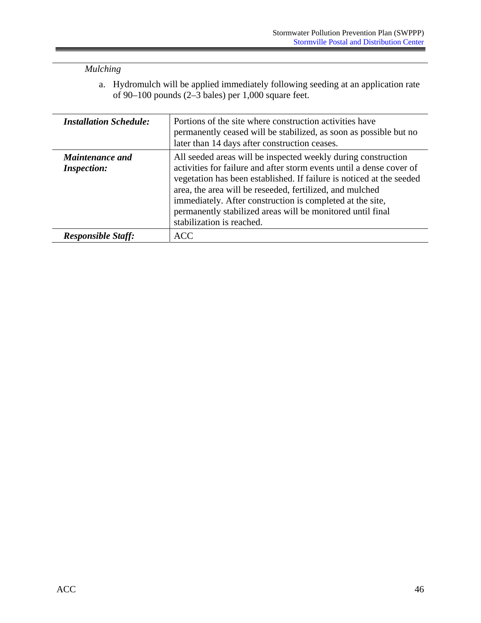### *Mulching*

a. Hydromulch will be applied immediately following seeding at an application rate of 90–100 pounds (2–3 bales) per 1,000 square feet.

| <b>Installation Schedule:</b>                | Portions of the site where construction activities have<br>permanently ceased will be stabilized, as soon as possible but no<br>later than 14 days after construction ceases.                                                                                                                                                                                                                                                     |
|----------------------------------------------|-----------------------------------------------------------------------------------------------------------------------------------------------------------------------------------------------------------------------------------------------------------------------------------------------------------------------------------------------------------------------------------------------------------------------------------|
| <b>Maintenance and</b><br><b>Inspection:</b> | All seeded areas will be inspected weekly during construction<br>activities for failure and after storm events until a dense cover of<br>vegetation has been established. If failure is noticed at the seeded<br>area, the area will be reseeded, fertilized, and mulched<br>immediately. After construction is completed at the site,<br>permanently stabilized areas will be monitored until final<br>stabilization is reached. |
| <b>Responsible Staff:</b>                    | <b>ACC</b>                                                                                                                                                                                                                                                                                                                                                                                                                        |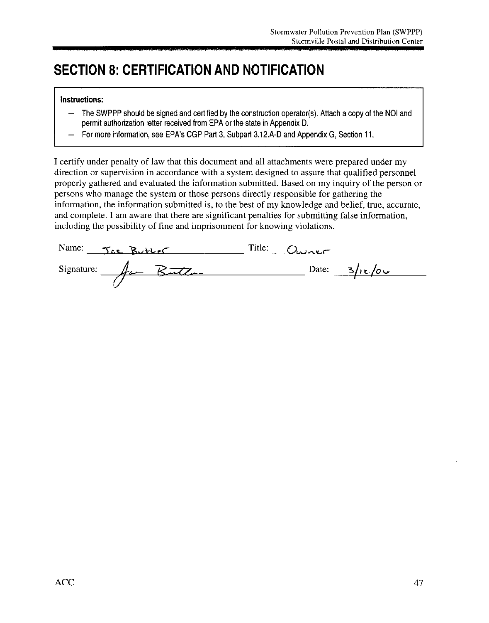# **SECTION 8: CERTIFICATION AND NOTIFICATION**

#### Instructions:

- The SWPPP should be signed and certified by the construction operator(s). Attach a copy of the NOI and  $\rightarrow$ permit authorization letter received from EPA or the state in Appendix D.
- For more information, see EPA's CGP Part 3, Subpart 3.12.A-D and Appendix G, Section 11.

I certify under penalty of law that this document and all attachments were prepared under my direction or supervision in accordance with a system designed to assure that qualified personnel properly gathered and evaluated the information submitted. Based on my inquiry of the person or persons who manage the system or those persons directly responsible for gathering the information, the information submitted is, to the best of my knowledge and belief, true, accurate, and complete. I am aware that there are significant penalties for submitting false information, including the possibility of fine and imprisonment for knowing violations.

| Name:<br><u>Joe Butter</u> | Title: Owner    |
|----------------------------|-----------------|
| Signature: Aan Button      | Date: $3/12/00$ |
|                            |                 |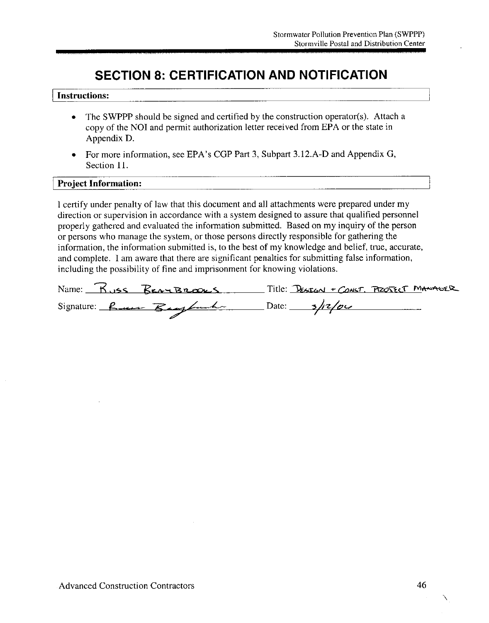## **SECTION 8: CERTIFICATION AND NOTIFICATION**

#### **Instructions:**

- The SWPPP should be signed and certified by the construction operator(s). Attach a  $\bullet$ copy of the NOI and permit authorization letter received from EPA or the state in Appendix D.
- For more information, see EPA's CGP Part 3, Subpart 3.12.A-D and Appendix G, Section 11.

#### **Project Information:**

I certify under penalty of law that this document and all attachments were prepared under my direction or supervision in accordance with a system designed to assure that qualified personnel properly gathered and evaluated the information submitted. Based on my inquiry of the person or persons who manage the system, or those persons directly responsible for gathering the information, the information submitted is, to the best of my knowledge and belief, true, accurate, and complete. I am aware that there are significant penalties for submitting false information, including the possibility of fine and imprisonment for knowing violations.

|                         | Name: Russ BEAYBROOKS Title: DESIGN + CONST. PROJECT MANAGER |
|-------------------------|--------------------------------------------------------------|
| Signature: Run Baylonda | $Date:$ $\frac{3}{12}$                                       |